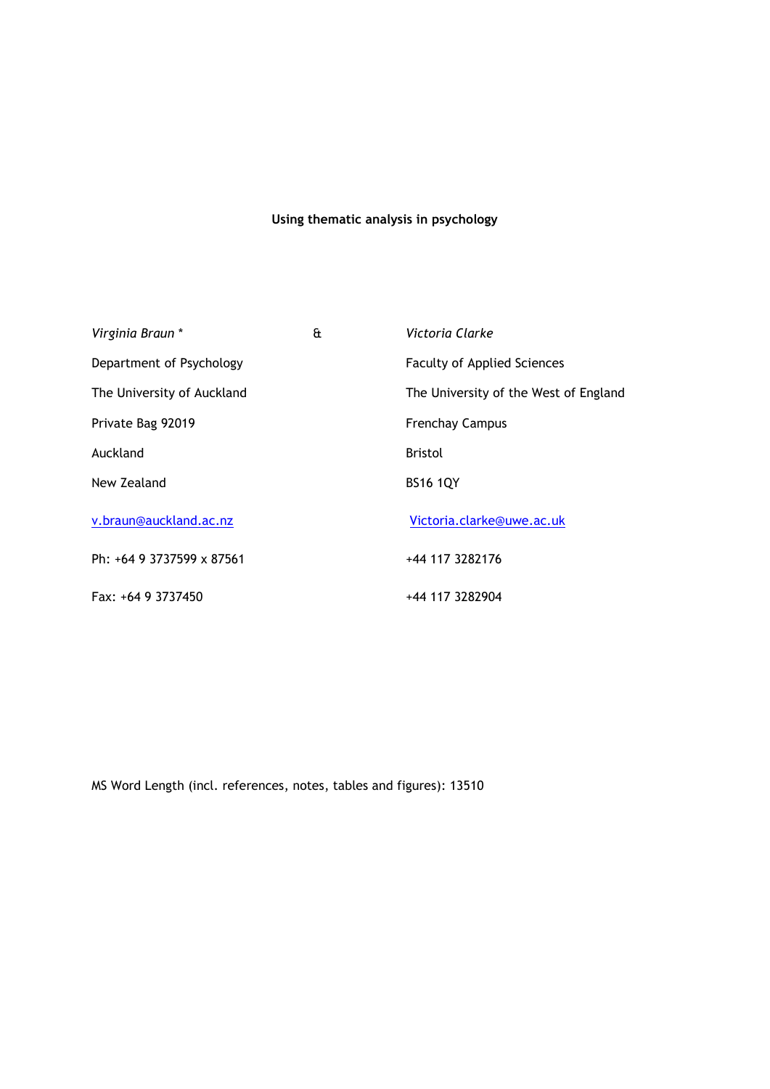# **Using thematic analysis in psychology**

| Virginia Braun *           | $\mathbf{a}$ | Victoria Clarke                       |
|----------------------------|--------------|---------------------------------------|
| Department of Psychology   |              | <b>Faculty of Applied Sciences</b>    |
| The University of Auckland |              | The University of the West of England |
| Private Bag 92019          |              | <b>Frenchay Campus</b>                |
| Auckland                   |              | <b>Bristol</b>                        |
| New Zealand                |              | <b>BS16 1QY</b>                       |
| v.braun@auckland.ac.nz     |              | Victoria.clarke@uwe.ac.uk             |
| Ph: +64 9 3737599 x 87561  |              | +44 117 3282176                       |
| Fax: +64 9 3737450         |              | +44 117 3282904                       |

MS Word Length (incl. references, notes, tables and figures): 13510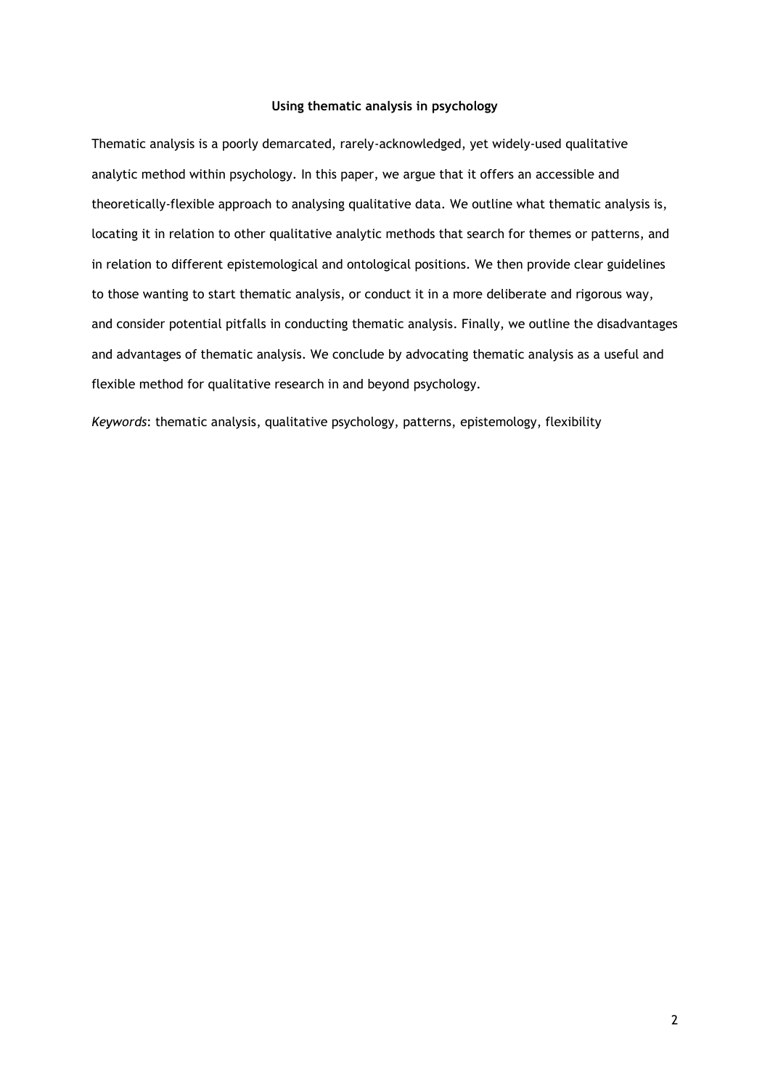# **Using thematic analysis in psychology**

Thematic analysis is a poorly demarcated, rarely-acknowledged, yet widely-used qualitative analytic method within psychology. In this paper, we argue that it offers an accessible and theoretically-flexible approach to analysing qualitative data. We outline what thematic analysis is, locating it in relation to other qualitative analytic methods that search for themes or patterns, and in relation to different epistemological and ontological positions. We then provide clear guidelines to those wanting to start thematic analysis, or conduct it in a more deliberate and rigorous way, and consider potential pitfalls in conducting thematic analysis. Finally, we outline the disadvantages and advantages of thematic analysis. We conclude by advocating thematic analysis as a useful and flexible method for qualitative research in and beyond psychology.

*Keywords*: thematic analysis, qualitative psychology, patterns, epistemology, flexibility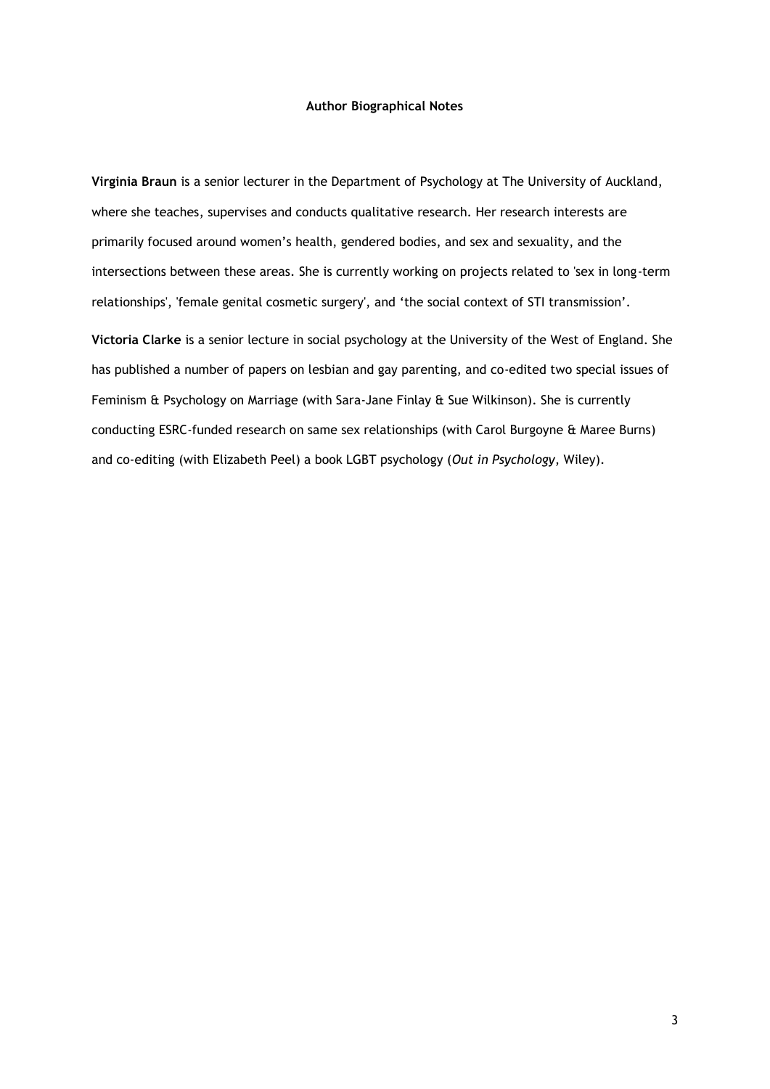## **Author Biographical Notes**

**Virginia Braun** is a senior lecturer in the Department of Psychology at The University of Auckland, where she teaches, supervises and conducts qualitative research. Her research interests are primarily focused around women's health, gendered bodies, and sex and sexuality, and the intersections between these areas. She is currently working on projects related to 'sex in long-term relationships', 'female genital cosmetic surgery', and "the social context of STI transmission".

**Victoria Clarke** is a senior lecture in social psychology at the University of the West of England. She has published a number of papers on lesbian and gay parenting, and co-edited two special issues of Feminism & Psychology on Marriage (with Sara-Jane Finlay & Sue Wilkinson). She is currently conducting ESRC-funded research on same sex relationships (with Carol Burgoyne & Maree Burns) and co-editing (with Elizabeth Peel) a book LGBT psychology (*Out in Psychology*, Wiley).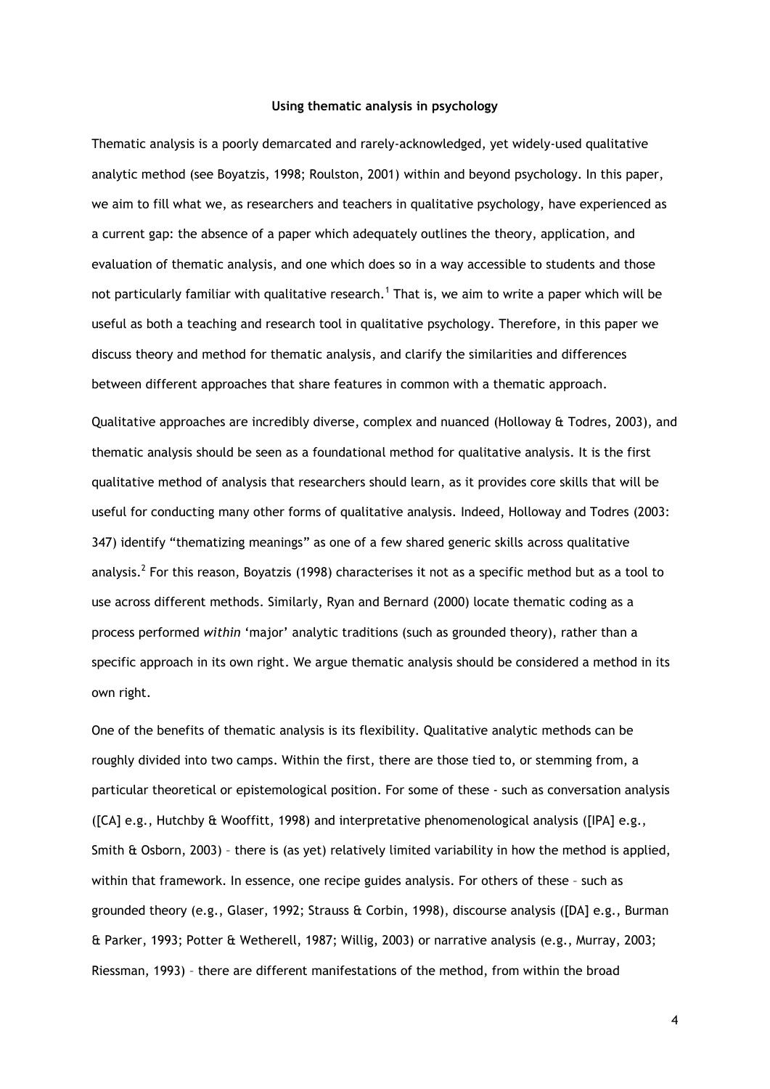### **Using thematic analysis in psychology**

Thematic analysis is a poorly demarcated and rarely-acknowledged, yet widely-used qualitative analytic method (see Boyatzis, 1998; Roulston, 2001) within and beyond psychology. In this paper, we aim to fill what we, as researchers and teachers in qualitative psychology, have experienced as a current gap: the absence of a paper which adequately outlines the theory, application, and evaluation of thematic analysis, and one which does so in a way accessible to students and those not particularly familiar with qualitative research. $^{\rm 1}$  That is, we aim to write a paper which will be useful as both a teaching and research tool in qualitative psychology. Therefore, in this paper we discuss theory and method for thematic analysis, and clarify the similarities and differences between different approaches that share features in common with a thematic approach.

Qualitative approaches are incredibly diverse, complex and nuanced (Holloway & Todres, 2003), and thematic analysis should be seen as a foundational method for qualitative analysis. It is the first qualitative method of analysis that researchers should learn, as it provides core skills that will be useful for conducting many other forms of qualitative analysis. Indeed, Holloway and Todres (2003: 347) identify "thematizing meanings" as one of a few shared generic skills across qualitative analysis. $^2$  For this reason, Boyatzis (1998) characterises it not as a specific method but as a tool to use across different methods. Similarly, Ryan and Bernard (2000) locate thematic coding as a process performed *within* "major" analytic traditions (such as grounded theory), rather than a specific approach in its own right. We argue thematic analysis should be considered a method in its own right.

One of the benefits of thematic analysis is its flexibility. Qualitative analytic methods can be roughly divided into two camps. Within the first, there are those tied to, or stemming from, a particular theoretical or epistemological position. For some of these - such as conversation analysis ([CA] e.g., Hutchby & Wooffitt, 1998) and interpretative phenomenological analysis ([IPA] e.g., Smith & Osborn, 2003) – there is (as yet) relatively limited variability in how the method is applied, within that framework. In essence, one recipe guides analysis. For others of these – such as grounded theory (e.g., Glaser, 1992; Strauss & Corbin, 1998), discourse analysis ([DA] e.g., Burman & Parker, 1993; Potter & Wetherell, 1987; Willig, 2003) or narrative analysis (e.g., Murray, 2003; Riessman, 1993) – there are different manifestations of the method, from within the broad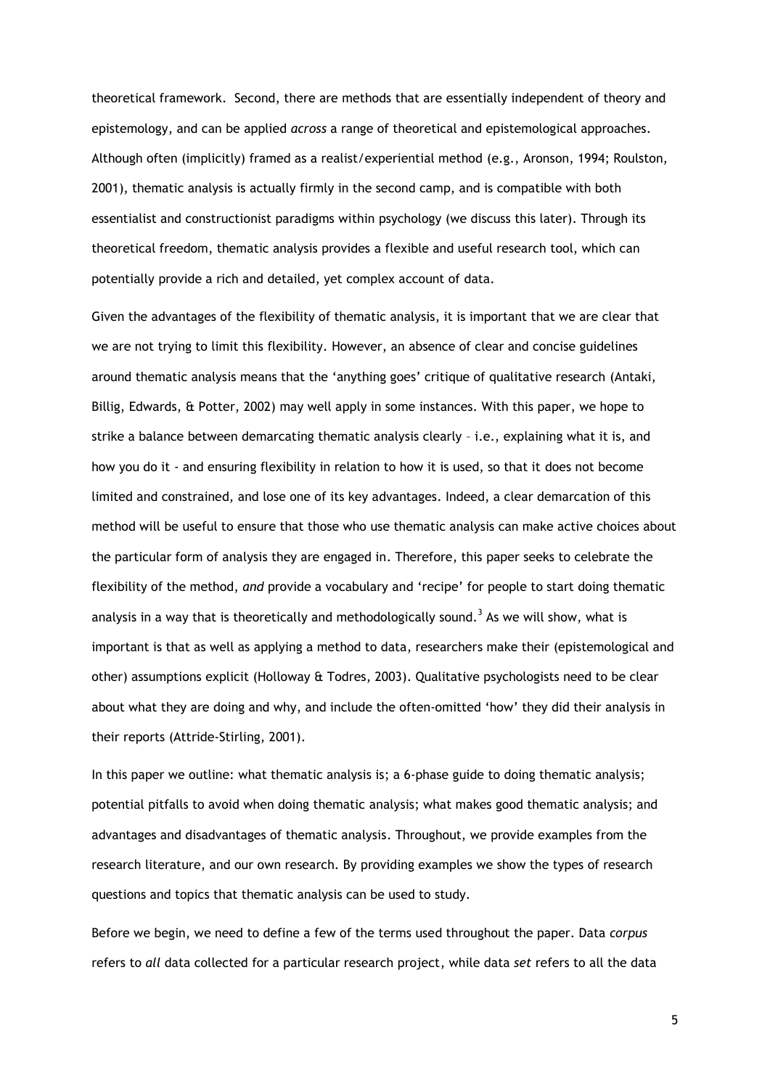theoretical framework. Second, there are methods that are essentially independent of theory and epistemology, and can be applied *across* a range of theoretical and epistemological approaches. Although often (implicitly) framed as a realist/experiential method (e.g., Aronson, 1994; Roulston, 2001), thematic analysis is actually firmly in the second camp, and is compatible with both essentialist and constructionist paradigms within psychology (we discuss this later). Through its theoretical freedom, thematic analysis provides a flexible and useful research tool, which can potentially provide a rich and detailed, yet complex account of data.

Given the advantages of the flexibility of thematic analysis, it is important that we are clear that we are not trying to limit this flexibility. However, an absence of clear and concise guidelines around thematic analysis means that the "anything goes" critique of qualitative research (Antaki, Billig, Edwards, & Potter, 2002) may well apply in some instances. With this paper, we hope to strike a balance between demarcating thematic analysis clearly – i.e., explaining what it is, and how you do it - and ensuring flexibility in relation to how it is used, so that it does not become limited and constrained, and lose one of its key advantages. Indeed, a clear demarcation of this method will be useful to ensure that those who use thematic analysis can make active choices about the particular form of analysis they are engaged in. Therefore, this paper seeks to celebrate the flexibility of the method, *and* provide a vocabulary and "recipe" for people to start doing thematic analysis in a way that is theoretically and methodologically sound. $^3$  As we will show, what is important is that as well as applying a method to data, researchers make their (epistemological and other) assumptions explicit (Holloway & Todres, 2003). Qualitative psychologists need to be clear about what they are doing and why, and include the often-omitted 'how' they did their analysis in their reports (Attride-Stirling, 2001).

In this paper we outline: what thematic analysis is; a 6-phase guide to doing thematic analysis; potential pitfalls to avoid when doing thematic analysis; what makes good thematic analysis; and advantages and disadvantages of thematic analysis. Throughout, we provide examples from the research literature, and our own research. By providing examples we show the types of research questions and topics that thematic analysis can be used to study.

Before we begin, we need to define a few of the terms used throughout the paper. Data *corpus* refers to *all* data collected for a particular research project, while data *set* refers to all the data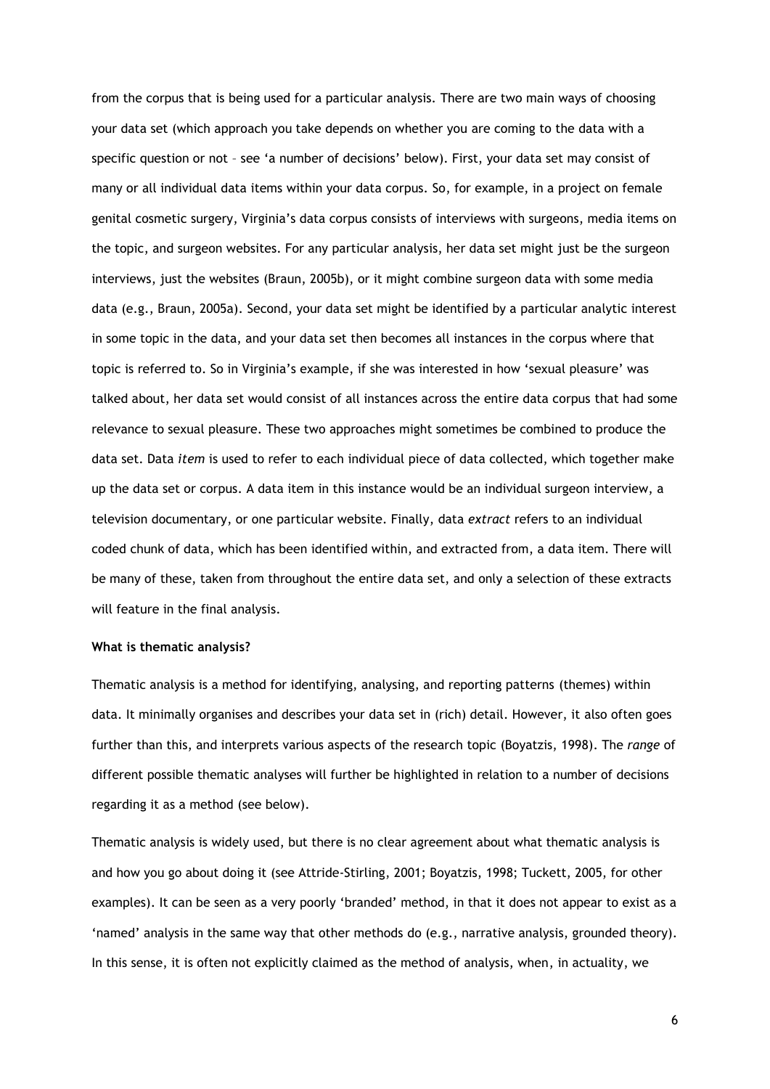from the corpus that is being used for a particular analysis. There are two main ways of choosing your data set (which approach you take depends on whether you are coming to the data with a specific question or not – see "a number of decisions" below). First, your data set may consist of many or all individual data items within your data corpus. So, for example, in a project on female genital cosmetic surgery, Virginia"s data corpus consists of interviews with surgeons, media items on the topic, and surgeon websites. For any particular analysis, her data set might just be the surgeon interviews, just the websites (Braun, 2005b), or it might combine surgeon data with some media data (e.g., Braun, 2005a). Second, your data set might be identified by a particular analytic interest in some topic in the data, and your data set then becomes all instances in the corpus where that topic is referred to. So in Virginia"s example, if she was interested in how "sexual pleasure" was talked about, her data set would consist of all instances across the entire data corpus that had some relevance to sexual pleasure. These two approaches might sometimes be combined to produce the data set. Data *item* is used to refer to each individual piece of data collected, which together make up the data set or corpus. A data item in this instance would be an individual surgeon interview, a television documentary, or one particular website. Finally, data *extract* refers to an individual coded chunk of data, which has been identified within, and extracted from, a data item. There will be many of these, taken from throughout the entire data set, and only a selection of these extracts will feature in the final analysis.

## **What is thematic analysis?**

Thematic analysis is a method for identifying, analysing, and reporting patterns (themes) within data. It minimally organises and describes your data set in (rich) detail. However, it also often goes further than this, and interprets various aspects of the research topic (Boyatzis, 1998). The *range* of different possible thematic analyses will further be highlighted in relation to a number of decisions regarding it as a method (see below).

Thematic analysis is widely used, but there is no clear agreement about what thematic analysis is and how you go about doing it (see Attride-Stirling, 2001; Boyatzis, 1998; Tuckett, 2005, for other examples). It can be seen as a very poorly "branded" method, in that it does not appear to exist as a 'named' analysis in the same way that other methods do (e.g., narrative analysis, grounded theory). In this sense, it is often not explicitly claimed as the method of analysis, when, in actuality, we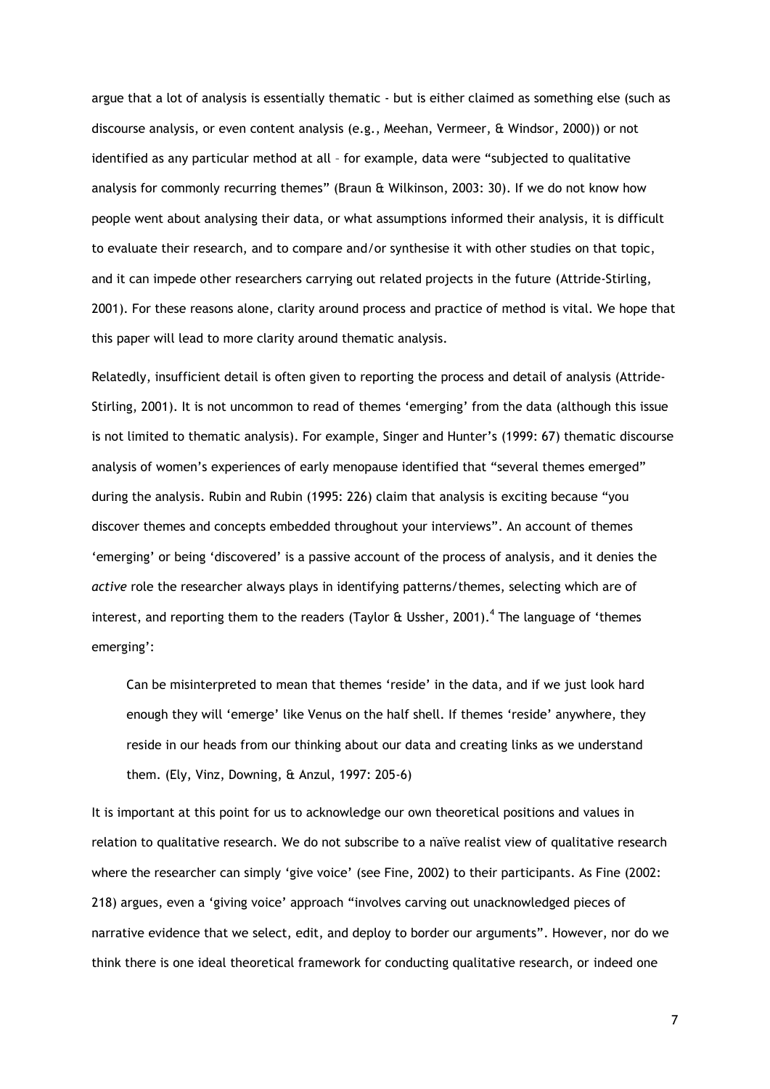argue that a lot of analysis is essentially thematic - but is either claimed as something else (such as discourse analysis, or even content analysis (e.g., Meehan, Vermeer, & Windsor, 2000)) or not identified as any particular method at all – for example, data were "subjected to qualitative analysis for commonly recurring themes" (Braun & Wilkinson, 2003: 30). If we do not know how people went about analysing their data, or what assumptions informed their analysis, it is difficult to evaluate their research, and to compare and/or synthesise it with other studies on that topic, and it can impede other researchers carrying out related projects in the future (Attride-Stirling, 2001). For these reasons alone, clarity around process and practice of method is vital. We hope that this paper will lead to more clarity around thematic analysis.

Relatedly, insufficient detail is often given to reporting the process and detail of analysis (Attride-Stirling, 2001). It is not uncommon to read of themes "emerging" from the data (although this issue is not limited to thematic analysis). For example, Singer and Hunter"s (1999: 67) thematic discourse analysis of women"s experiences of early menopause identified that "several themes emerged" during the analysis. Rubin and Rubin (1995: 226) claim that analysis is exciting because "you discover themes and concepts embedded throughout your interviews". An account of themes "emerging" or being "discovered" is a passive account of the process of analysis, and it denies the *active* role the researcher always plays in identifying patterns/themes, selecting which are of interest, and reporting them to the readers (Taylor & Ussher, 2001).<sup>4</sup> The language of 'themes emerging':

Can be misinterpreted to mean that themes "reside" in the data, and if we just look hard enough they will 'emerge' like Venus on the half shell. If themes 'reside' anywhere, they reside in our heads from our thinking about our data and creating links as we understand them. (Ely, Vinz, Downing, & Anzul, 1997: 205-6)

It is important at this point for us to acknowledge our own theoretical positions and values in relation to qualitative research. We do not subscribe to a naïve realist view of qualitative research where the researcher can simply "give voice" (see Fine, 2002) to their participants. As Fine (2002: 218) argues, even a "giving voice" approach "involves carving out unacknowledged pieces of narrative evidence that we select, edit, and deploy to border our arguments". However, nor do we think there is one ideal theoretical framework for conducting qualitative research, or indeed one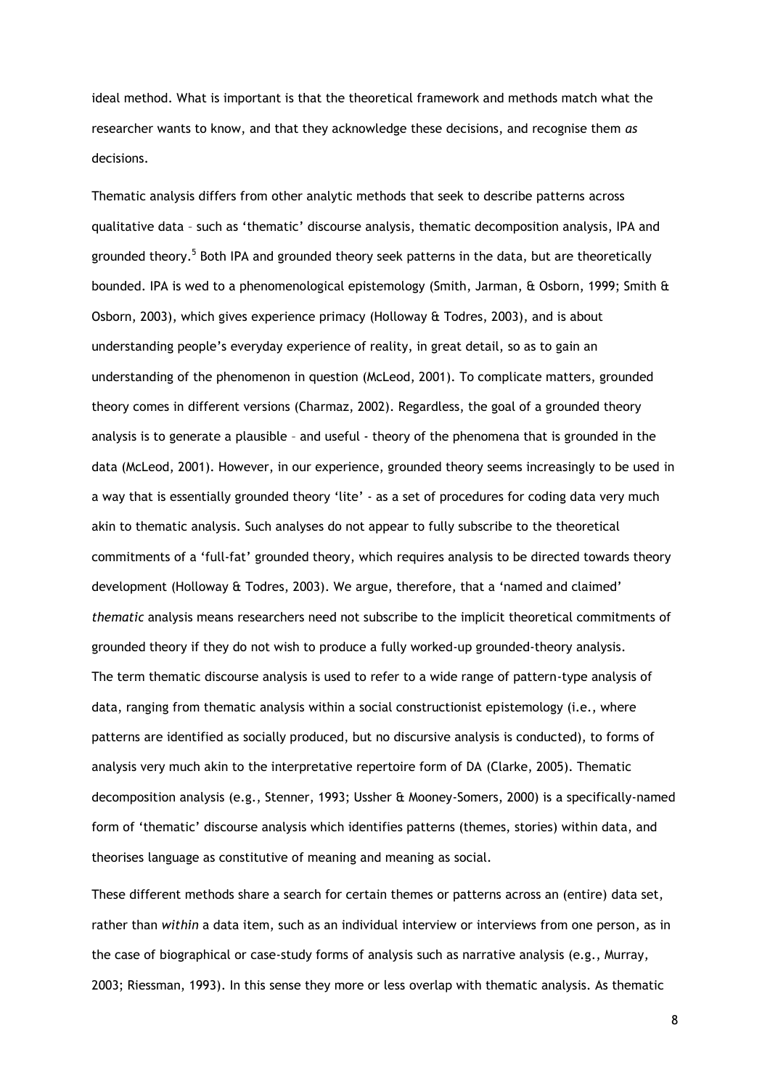ideal method. What is important is that the theoretical framework and methods match what the researcher wants to know, and that they acknowledge these decisions, and recognise them *as* decisions.

Thematic analysis differs from other analytic methods that seek to describe patterns across qualitative data – such as "thematic" discourse analysis, thematic decomposition analysis, IPA and grounded theory.<sup>5</sup> Both IPA and grounded theory seek patterns in the data, but are theoretically bounded. IPA is wed to a phenomenological epistemology (Smith, Jarman, & Osborn, 1999; Smith & Osborn, 2003), which gives experience primacy (Holloway & Todres, 2003), and is about understanding people"s everyday experience of reality, in great detail, so as to gain an understanding of the phenomenon in question (McLeod, 2001). To complicate matters, grounded theory comes in different versions (Charmaz, 2002). Regardless, the goal of a grounded theory analysis is to generate a plausible – and useful - theory of the phenomena that is grounded in the data (McLeod, 2001). However, in our experience, grounded theory seems increasingly to be used in a way that is essentially grounded theory "lite" - as a set of procedures for coding data very much akin to thematic analysis. Such analyses do not appear to fully subscribe to the theoretical commitments of a "full-fat" grounded theory, which requires analysis to be directed towards theory development (Holloway & Todres, 2003). We argue, therefore, that a "named and claimed" *thematic* analysis means researchers need not subscribe to the implicit theoretical commitments of grounded theory if they do not wish to produce a fully worked-up grounded-theory analysis. The term thematic discourse analysis is used to refer to a wide range of pattern-type analysis of data, ranging from thematic analysis within a social constructionist epistemology (i.e., where patterns are identified as socially produced, but no discursive analysis is conducted), to forms of analysis very much akin to the interpretative repertoire form of DA (Clarke, 2005). Thematic decomposition analysis (e.g., Stenner, 1993; Ussher & Mooney-Somers, 2000) is a specifically-named form of "thematic" discourse analysis which identifies patterns (themes, stories) within data, and theorises language as constitutive of meaning and meaning as social.

These different methods share a search for certain themes or patterns across an (entire) data set, rather than *within* a data item, such as an individual interview or interviews from one person, as in the case of biographical or case-study forms of analysis such as narrative analysis (e.g., Murray, 2003; Riessman, 1993). In this sense they more or less overlap with thematic analysis. As thematic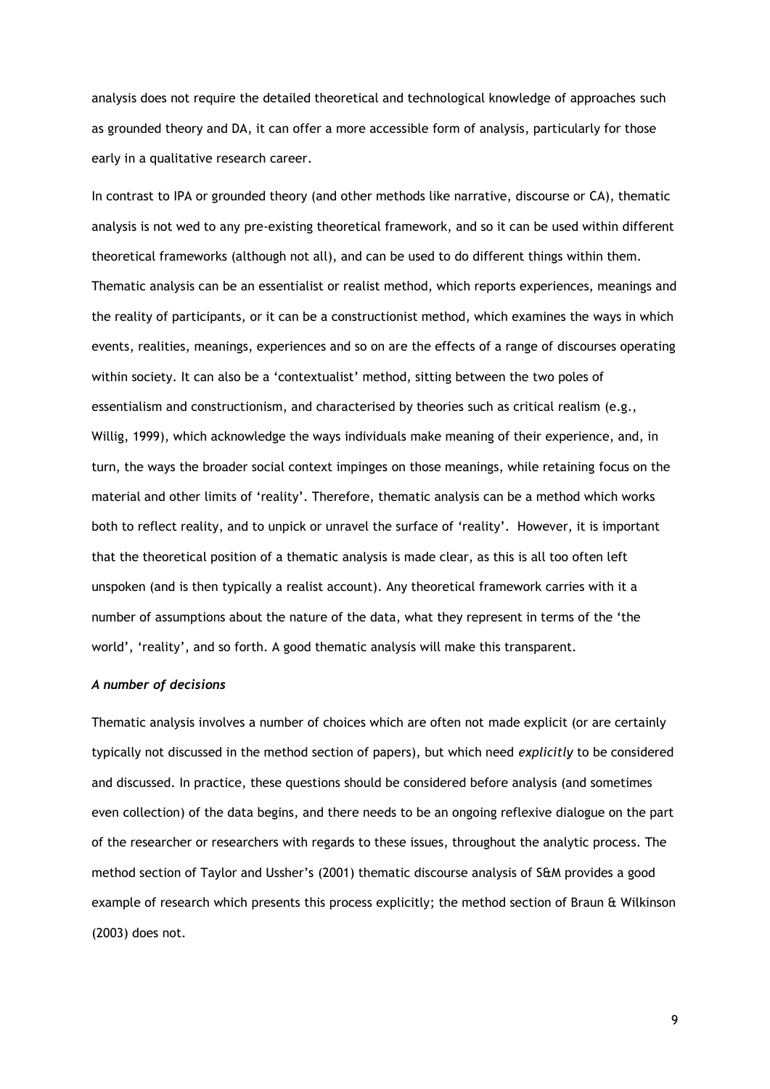analysis does not require the detailed theoretical and technological knowledge of approaches such as grounded theory and DA, it can offer a more accessible form of analysis, particularly for those early in a qualitative research career.

In contrast to IPA or grounded theory (and other methods like narrative, discourse or CA), thematic analysis is not wed to any pre-existing theoretical framework, and so it can be used within different theoretical frameworks (although not all), and can be used to do different things within them. Thematic analysis can be an essentialist or realist method, which reports experiences, meanings and the reality of participants, or it can be a constructionist method, which examines the ways in which events, realities, meanings, experiences and so on are the effects of a range of discourses operating within society. It can also be a "contextualist" method, sitting between the two poles of essentialism and constructionism, and characterised by theories such as critical realism (e.g., Willig, 1999), which acknowledge the ways individuals make meaning of their experience, and, in turn, the ways the broader social context impinges on those meanings, while retaining focus on the material and other limits of "reality". Therefore, thematic analysis can be a method which works both to reflect reality, and to unpick or unravel the surface of "reality". However, it is important that the theoretical position of a thematic analysis is made clear, as this is all too often left unspoken (and is then typically a realist account). Any theoretical framework carries with it a number of assumptions about the nature of the data, what they represent in terms of the "the world", "reality", and so forth. A good thematic analysis will make this transparent.

## *A number of decisions*

Thematic analysis involves a number of choices which are often not made explicit (or are certainly typically not discussed in the method section of papers), but which need *explicitly* to be considered and discussed. In practice, these questions should be considered before analysis (and sometimes even collection) of the data begins, and there needs to be an ongoing reflexive dialogue on the part of the researcher or researchers with regards to these issues, throughout the analytic process. The method section of Taylor and Ussher"s (2001) thematic discourse analysis of S&M provides a good example of research which presents this process explicitly; the method section of Braun & Wilkinson (2003) does not.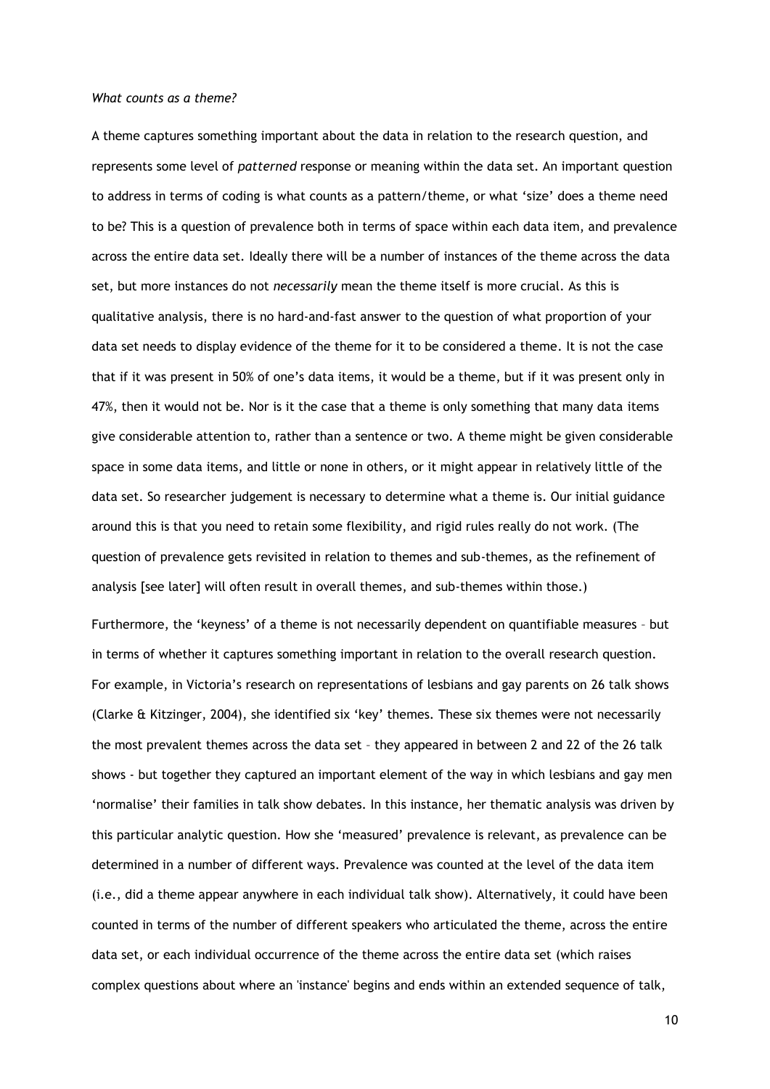#### *What counts as a theme?*

A theme captures something important about the data in relation to the research question, and represents some level of *patterned* response or meaning within the data set. An important question to address in terms of coding is what counts as a pattern/theme, or what "size" does a theme need to be? This is a question of prevalence both in terms of space within each data item, and prevalence across the entire data set. Ideally there will be a number of instances of the theme across the data set, but more instances do not *necessarily* mean the theme itself is more crucial. As this is qualitative analysis, there is no hard-and-fast answer to the question of what proportion of your data set needs to display evidence of the theme for it to be considered a theme. It is not the case that if it was present in 50% of one"s data items, it would be a theme, but if it was present only in 47%, then it would not be. Nor is it the case that a theme is only something that many data items give considerable attention to, rather than a sentence or two. A theme might be given considerable space in some data items, and little or none in others, or it might appear in relatively little of the data set. So researcher judgement is necessary to determine what a theme is. Our initial guidance around this is that you need to retain some flexibility, and rigid rules really do not work. (The question of prevalence gets revisited in relation to themes and sub-themes, as the refinement of analysis [see later] will often result in overall themes, and sub-themes within those.)

Furthermore, the "keyness" of a theme is not necessarily dependent on quantifiable measures – but in terms of whether it captures something important in relation to the overall research question. For example, in Victoria's research on representations of lesbians and gay parents on 26 talk shows (Clarke & Kitzinger, 2004), she identified six "key" themes. These six themes were not necessarily the most prevalent themes across the data set – they appeared in between 2 and 22 of the 26 talk shows - but together they captured an important element of the way in which lesbians and gay men "normalise" their families in talk show debates. In this instance, her thematic analysis was driven by this particular analytic question. How she "measured" prevalence is relevant, as prevalence can be determined in a number of different ways. Prevalence was counted at the level of the data item (i.e., did a theme appear anywhere in each individual talk show). Alternatively, it could have been counted in terms of the number of different speakers who articulated the theme, across the entire data set, or each individual occurrence of the theme across the entire data set (which raises complex questions about where an 'instance' begins and ends within an extended sequence of talk,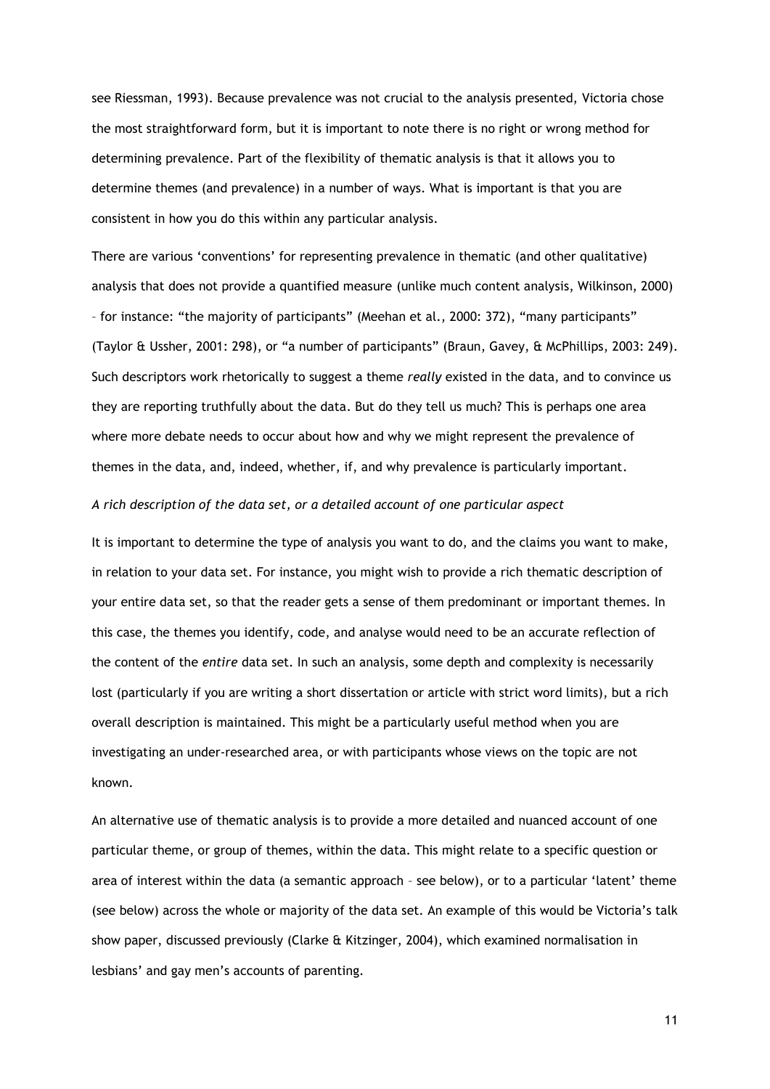see Riessman, 1993). Because prevalence was not crucial to the analysis presented, Victoria chose the most straightforward form, but it is important to note there is no right or wrong method for determining prevalence. Part of the flexibility of thematic analysis is that it allows you to determine themes (and prevalence) in a number of ways. What is important is that you are consistent in how you do this within any particular analysis.

There are various 'conventions' for representing prevalence in thematic (and other qualitative) analysis that does not provide a quantified measure (unlike much content analysis, Wilkinson, 2000) – for instance: "the majority of participants" (Meehan et al., 2000: 372), "many participants" (Taylor & Ussher, 2001: 298), or "a number of participants" (Braun, Gavey, & McPhillips, 2003: 249). Such descriptors work rhetorically to suggest a theme *really* existed in the data, and to convince us they are reporting truthfully about the data. But do they tell us much? This is perhaps one area where more debate needs to occur about how and why we might represent the prevalence of themes in the data, and, indeed, whether, if, and why prevalence is particularly important.

## *A rich description of the data set, or a detailed account of one particular aspect*

It is important to determine the type of analysis you want to do, and the claims you want to make, in relation to your data set. For instance, you might wish to provide a rich thematic description of your entire data set, so that the reader gets a sense of them predominant or important themes. In this case, the themes you identify, code, and analyse would need to be an accurate reflection of the content of the *entire* data set. In such an analysis, some depth and complexity is necessarily lost (particularly if you are writing a short dissertation or article with strict word limits), but a rich overall description is maintained. This might be a particularly useful method when you are investigating an under-researched area, or with participants whose views on the topic are not known.

An alternative use of thematic analysis is to provide a more detailed and nuanced account of one particular theme, or group of themes, within the data. This might relate to a specific question or area of interest within the data (a semantic approach – see below), or to a particular "latent" theme (see below) across the whole or majority of the data set. An example of this would be Victoria"s talk show paper, discussed previously (Clarke & Kitzinger, 2004), which examined normalisation in lesbians' and gay men's accounts of parenting.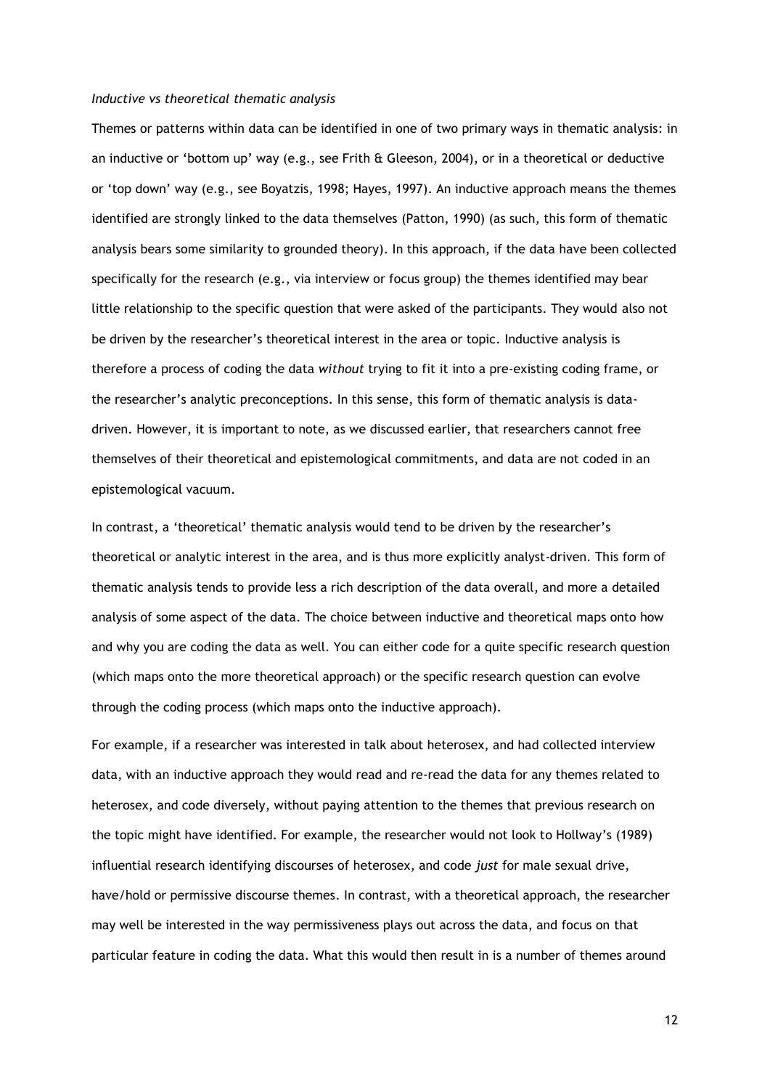#### *Inductive vs theoretical thematic analysis*

Themes or patterns within data can be identified in one of two primary ways in thematic analysis: in an inductive or 'bottom up' way (e.g., see Frith & Gleeson, 2004), or in a theoretical or deductive or "top down" way (e.g., see Boyatzis, 1998; Hayes, 1997). An inductive approach means the themes identified are strongly linked to the data themselves (Patton, 1990) (as such, this form of thematic analysis bears some similarity to grounded theory). In this approach, if the data have been collected specifically for the research (e.g., via interview or focus group) the themes identified may bear little relationship to the specific question that were asked of the participants. They would also not be driven by the researcher's theoretical interest in the area or topic. Inductive analysis is therefore a process of coding the data *without* trying to fit it into a pre-existing coding frame, or the researcher"s analytic preconceptions. In this sense, this form of thematic analysis is datadriven. However, it is important to note, as we discussed earlier, that researchers cannot free themselves of their theoretical and epistemological commitments, and data are not coded in an epistemological vacuum.

In contrast, a 'theoretical' thematic analysis would tend to be driven by the researcher's theoretical or analytic interest in the area, and is thus more explicitly analyst-driven. This form of thematic analysis tends to provide less a rich description of the data overall, and more a detailed analysis of some aspect of the data. The choice between inductive and theoretical maps onto how and why you are coding the data as well. You can either code for a quite specific research question (which maps onto the more theoretical approach) or the specific research question can evolve through the coding process (which maps onto the inductive approach).

For example, if a researcher was interested in talk about heterosex, and had collected interview data, with an inductive approach they would read and re-read the data for any themes related to heterosex, and code diversely, without paying attention to the themes that previous research on the topic might have identified. For example, the researcher would not look to Hollway"s (1989) influential research identifying discourses of heterosex, and code *just* for male sexual drive, have/hold or permissive discourse themes. In contrast, with a theoretical approach, the researcher may well be interested in the way permissiveness plays out across the data, and focus on that particular feature in coding the data. What this would then result in is a number of themes around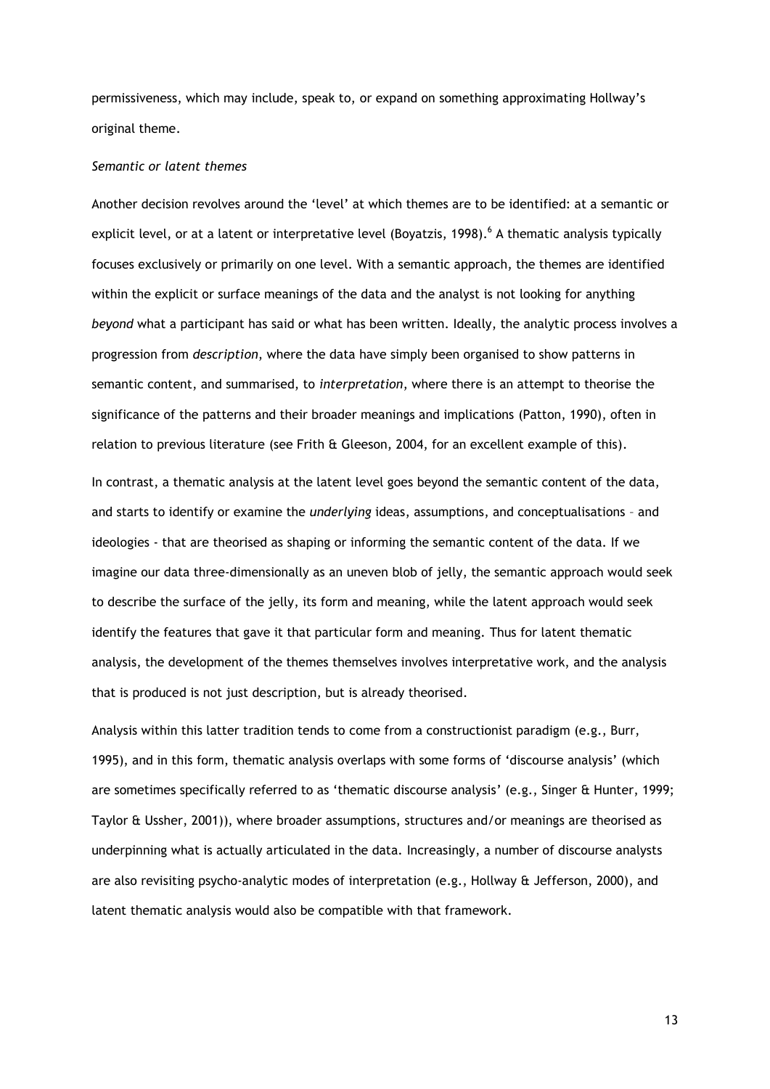permissiveness, which may include, speak to, or expand on something approximating Hollway"s original theme.

#### *Semantic or latent themes*

Another decision revolves around the "level" at which themes are to be identified: at a semantic or explicit level, or at a latent or interpretative level (Boyatzis, 1998). 6 A thematic analysis typically focuses exclusively or primarily on one level. With a semantic approach, the themes are identified within the explicit or surface meanings of the data and the analyst is not looking for anything *beyond* what a participant has said or what has been written. Ideally, the analytic process involves a progression from *description*, where the data have simply been organised to show patterns in semantic content, and summarised, to *interpretation*, where there is an attempt to theorise the significance of the patterns and their broader meanings and implications (Patton, 1990), often in relation to previous literature (see Frith & Gleeson, 2004, for an excellent example of this).

In contrast, a thematic analysis at the latent level goes beyond the semantic content of the data, and starts to identify or examine the *underlying* ideas, assumptions, and conceptualisations – and ideologies - that are theorised as shaping or informing the semantic content of the data. If we imagine our data three-dimensionally as an uneven blob of jelly, the semantic approach would seek to describe the surface of the jelly, its form and meaning, while the latent approach would seek identify the features that gave it that particular form and meaning. Thus for latent thematic analysis, the development of the themes themselves involves interpretative work, and the analysis that is produced is not just description, but is already theorised.

Analysis within this latter tradition tends to come from a constructionist paradigm (e.g., Burr, 1995), and in this form, thematic analysis overlaps with some forms of "discourse analysis" (which are sometimes specifically referred to as "thematic discourse analysis" (e.g., Singer & Hunter, 1999; Taylor & Ussher, 2001)), where broader assumptions, structures and/or meanings are theorised as underpinning what is actually articulated in the data. Increasingly, a number of discourse analysts are also revisiting psycho-analytic modes of interpretation (e.g., Hollway & Jefferson, 2000), and latent thematic analysis would also be compatible with that framework.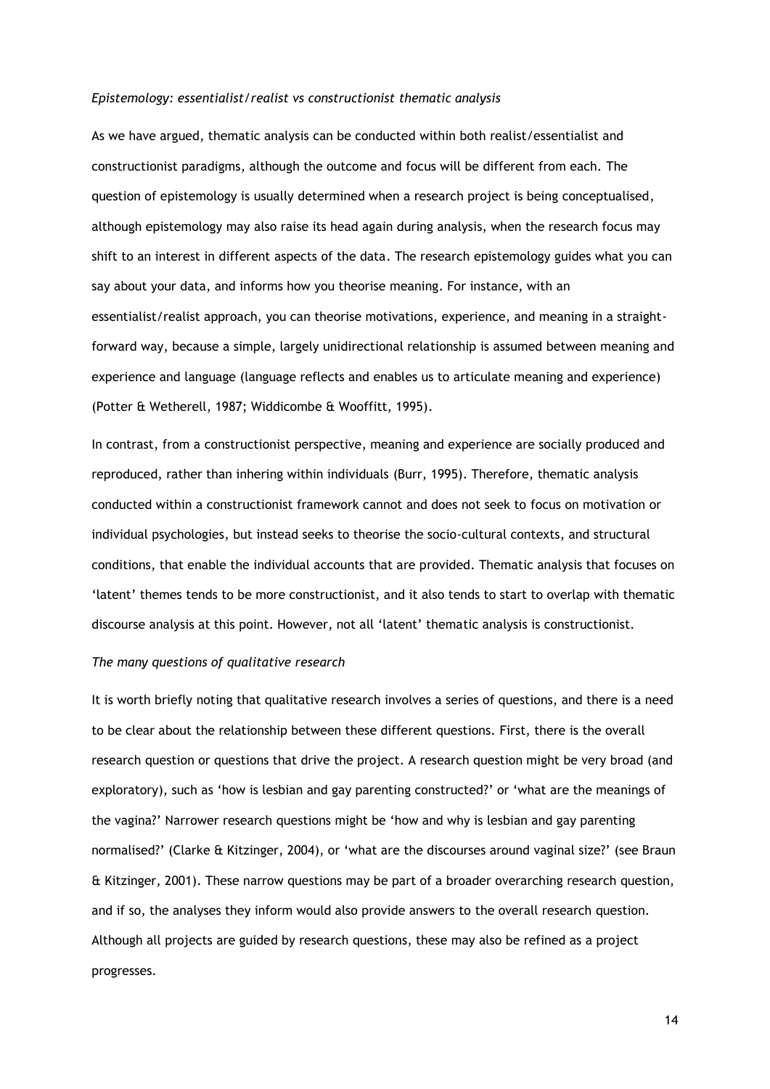#### *Epistemology: essentialist/realist vs constructionist thematic analysis*

As we have argued, thematic analysis can be conducted within both realist/essentialist and constructionist paradigms, although the outcome and focus will be different from each. The question of epistemology is usually determined when a research project is being conceptualised, although epistemology may also raise its head again during analysis, when the research focus may shift to an interest in different aspects of the data. The research epistemology guides what you can say about your data, and informs how you theorise meaning. For instance, with an essentialist/realist approach, you can theorise motivations, experience, and meaning in a straightforward way, because a simple, largely unidirectional relationship is assumed between meaning and experience and language (language reflects and enables us to articulate meaning and experience) (Potter & Wetherell, 1987; Widdicombe & Wooffitt, 1995).

In contrast, from a constructionist perspective, meaning and experience are socially produced and reproduced, rather than inhering within individuals (Burr, 1995). Therefore, thematic analysis conducted within a constructionist framework cannot and does not seek to focus on motivation or individual psychologies, but instead seeks to theorise the socio-cultural contexts, and structural conditions, that enable the individual accounts that are provided. Thematic analysis that focuses on "latent" themes tends to be more constructionist, and it also tends to start to overlap with thematic discourse analysis at this point. However, not all "latent" thematic analysis is constructionist.

## *The many questions of qualitative research*

It is worth briefly noting that qualitative research involves a series of questions, and there is a need to be clear about the relationship between these different questions. First, there is the overall research question or questions that drive the project. A research question might be very broad (and exploratory), such as "how is lesbian and gay parenting constructed?" or "what are the meanings of the vagina?" Narrower research questions might be "how and why is lesbian and gay parenting normalised?" (Clarke & Kitzinger, 2004), or "what are the discourses around vaginal size?" (see Braun & Kitzinger, 2001). These narrow questions may be part of a broader overarching research question, and if so, the analyses they inform would also provide answers to the overall research question. Although all projects are guided by research questions, these may also be refined as a project progresses.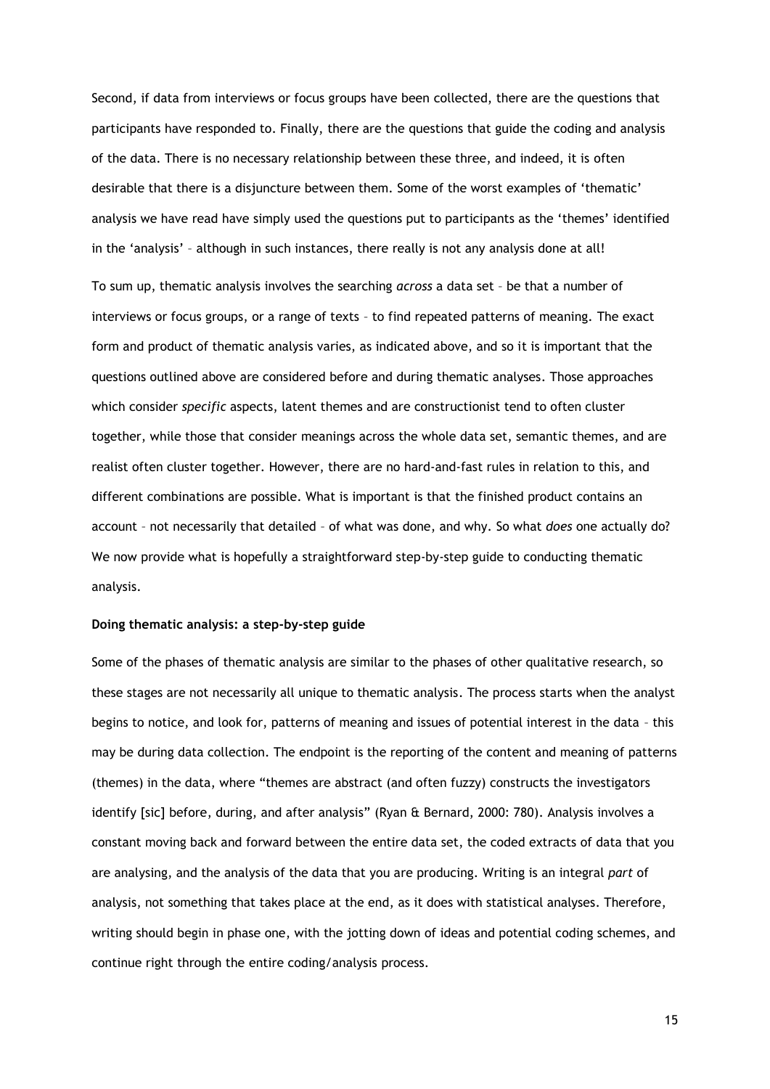Second, if data from interviews or focus groups have been collected, there are the questions that participants have responded to. Finally, there are the questions that guide the coding and analysis of the data. There is no necessary relationship between these three, and indeed, it is often desirable that there is a disjuncture between them. Some of the worst examples of "thematic" analysis we have read have simply used the questions put to participants as the "themes" identified in the "analysis" – although in such instances, there really is not any analysis done at all!

To sum up, thematic analysis involves the searching *across* a data set – be that a number of interviews or focus groups, or a range of texts – to find repeated patterns of meaning. The exact form and product of thematic analysis varies, as indicated above, and so it is important that the questions outlined above are considered before and during thematic analyses. Those approaches which consider *specific* aspects, latent themes and are constructionist tend to often cluster together, while those that consider meanings across the whole data set, semantic themes, and are realist often cluster together. However, there are no hard-and-fast rules in relation to this, and different combinations are possible. What is important is that the finished product contains an account – not necessarily that detailed – of what was done, and why. So what *does* one actually do? We now provide what is hopefully a straightforward step-by-step guide to conducting thematic analysis.

#### **Doing thematic analysis: a step-by-step guide**

Some of the phases of thematic analysis are similar to the phases of other qualitative research, so these stages are not necessarily all unique to thematic analysis. The process starts when the analyst begins to notice, and look for, patterns of meaning and issues of potential interest in the data – this may be during data collection. The endpoint is the reporting of the content and meaning of patterns (themes) in the data, where "themes are abstract (and often fuzzy) constructs the investigators identify [sic] before, during, and after analysis" (Ryan & Bernard, 2000: 780). Analysis involves a constant moving back and forward between the entire data set, the coded extracts of data that you are analysing, and the analysis of the data that you are producing. Writing is an integral *part* of analysis, not something that takes place at the end, as it does with statistical analyses. Therefore, writing should begin in phase one, with the jotting down of ideas and potential coding schemes, and continue right through the entire coding/analysis process.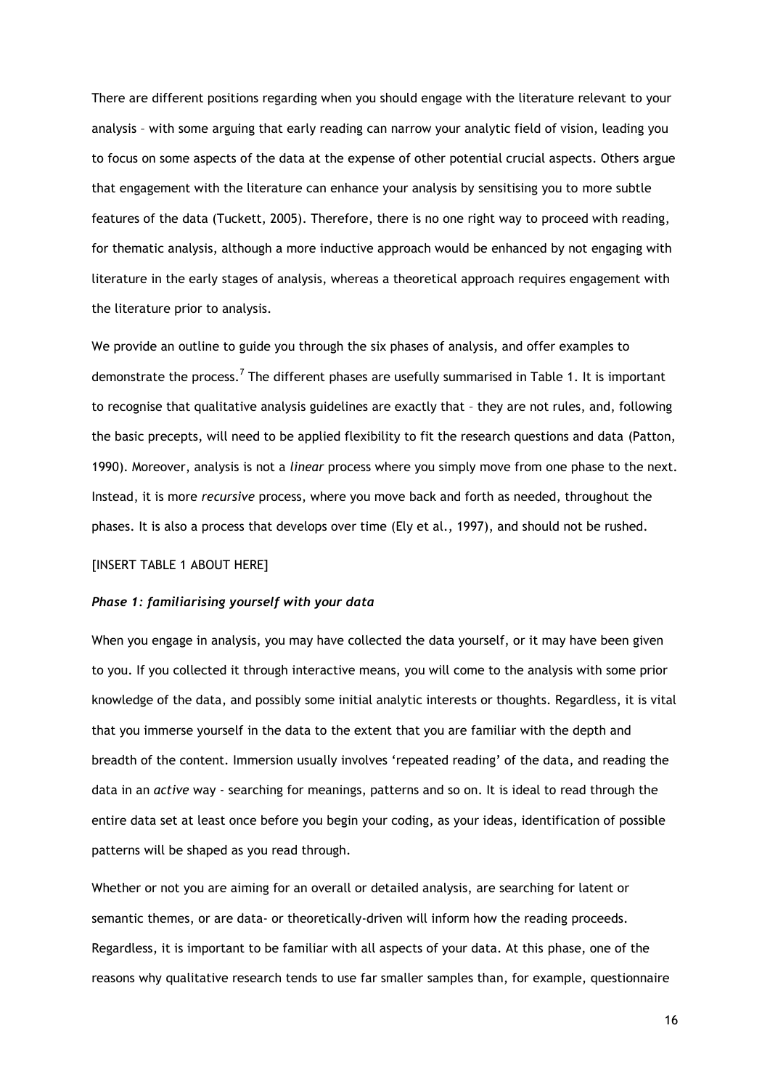There are different positions regarding when you should engage with the literature relevant to your analysis – with some arguing that early reading can narrow your analytic field of vision, leading you to focus on some aspects of the data at the expense of other potential crucial aspects. Others argue that engagement with the literature can enhance your analysis by sensitising you to more subtle features of the data (Tuckett, 2005). Therefore, there is no one right way to proceed with reading, for thematic analysis, although a more inductive approach would be enhanced by not engaging with literature in the early stages of analysis, whereas a theoretical approach requires engagement with the literature prior to analysis.

We provide an outline to guide you through the six phases of analysis, and offer examples to demonstrate the process.<sup>7</sup> The different phases are usefully summarised in Table 1. It is important to recognise that qualitative analysis guidelines are exactly that – they are not rules, and, following the basic precepts, will need to be applied flexibility to fit the research questions and data (Patton, 1990). Moreover, analysis is not a *linear* process where you simply move from one phase to the next. Instead, it is more *recursive* process, where you move back and forth as needed, throughout the phases. It is also a process that develops over time (Ely et al., 1997), and should not be rushed.

#### [INSERT TABLE 1 ABOUT HERE]

### *Phase 1: familiarising yourself with your data*

When you engage in analysis, you may have collected the data yourself, or it may have been given to you. If you collected it through interactive means, you will come to the analysis with some prior knowledge of the data, and possibly some initial analytic interests or thoughts. Regardless, it is vital that you immerse yourself in the data to the extent that you are familiar with the depth and breadth of the content. Immersion usually involves "repeated reading" of the data, and reading the data in an *active* way - searching for meanings, patterns and so on. It is ideal to read through the entire data set at least once before you begin your coding, as your ideas, identification of possible patterns will be shaped as you read through.

Whether or not you are aiming for an overall or detailed analysis, are searching for latent or semantic themes, or are data- or theoretically-driven will inform how the reading proceeds. Regardless, it is important to be familiar with all aspects of your data. At this phase, one of the reasons why qualitative research tends to use far smaller samples than, for example, questionnaire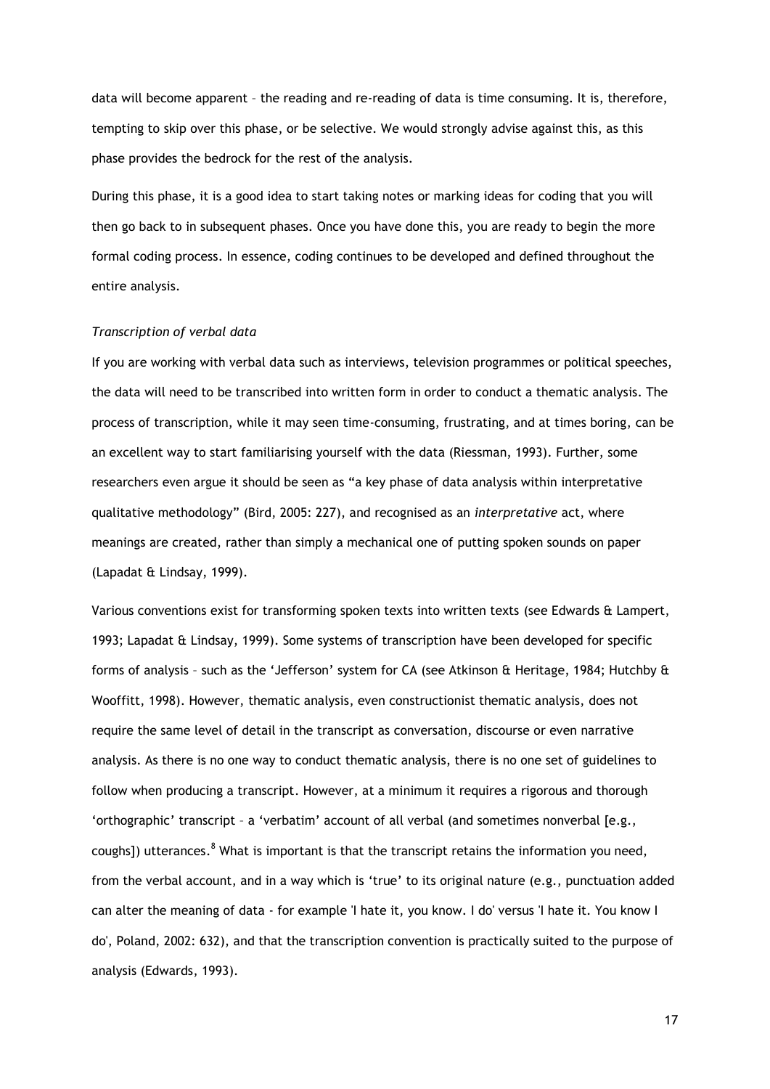data will become apparent – the reading and re-reading of data is time consuming. It is, therefore, tempting to skip over this phase, or be selective. We would strongly advise against this, as this phase provides the bedrock for the rest of the analysis.

During this phase, it is a good idea to start taking notes or marking ideas for coding that you will then go back to in subsequent phases. Once you have done this, you are ready to begin the more formal coding process. In essence, coding continues to be developed and defined throughout the entire analysis.

## *Transcription of verbal data*

If you are working with verbal data such as interviews, television programmes or political speeches, the data will need to be transcribed into written form in order to conduct a thematic analysis. The process of transcription, while it may seen time-consuming, frustrating, and at times boring, can be an excellent way to start familiarising yourself with the data (Riessman, 1993). Further, some researchers even argue it should be seen as "a key phase of data analysis within interpretative qualitative methodology" (Bird, 2005: 227), and recognised as an *interpretative* act, where meanings are created, rather than simply a mechanical one of putting spoken sounds on paper (Lapadat & Lindsay, 1999).

Various conventions exist for transforming spoken texts into written texts (see Edwards & Lampert, 1993; Lapadat & Lindsay, 1999). Some systems of transcription have been developed for specific forms of analysis – such as the "Jefferson" system for CA (see Atkinson & Heritage, 1984; Hutchby & Wooffitt, 1998). However, thematic analysis, even constructionist thematic analysis, does not require the same level of detail in the transcript as conversation, discourse or even narrative analysis. As there is no one way to conduct thematic analysis, there is no one set of guidelines to follow when producing a transcript. However, at a minimum it requires a rigorous and thorough 'orthographic' transcript - a 'verbatim' account of all verbal (and sometimes nonverbal [e.g., coughs]) utterances.<sup>8</sup> What is important is that the transcript retains the information you need, from the verbal account, and in a way which is "true" to its original nature (e.g., punctuation added can alter the meaning of data - for example 'I hate it, you know. I do' versus 'I hate it. You know I do', Poland, 2002: 632), and that the transcription convention is practically suited to the purpose of analysis (Edwards, 1993).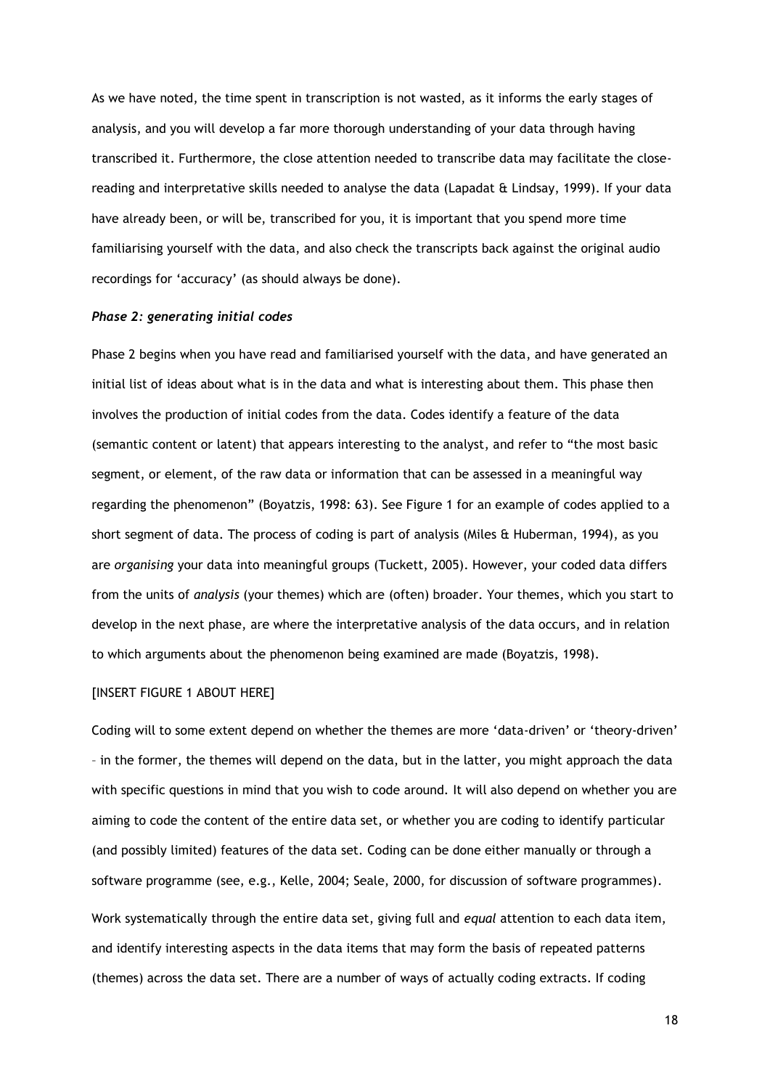As we have noted, the time spent in transcription is not wasted, as it informs the early stages of analysis, and you will develop a far more thorough understanding of your data through having transcribed it. Furthermore, the close attention needed to transcribe data may facilitate the closereading and interpretative skills needed to analyse the data (Lapadat & Lindsay, 1999). If your data have already been, or will be, transcribed for you, it is important that you spend more time familiarising yourself with the data, and also check the transcripts back against the original audio recordings for "accuracy" (as should always be done).

#### *Phase 2: generating initial codes*

Phase 2 begins when you have read and familiarised yourself with the data, and have generated an initial list of ideas about what is in the data and what is interesting about them. This phase then involves the production of initial codes from the data. Codes identify a feature of the data (semantic content or latent) that appears interesting to the analyst, and refer to "the most basic segment, or element, of the raw data or information that can be assessed in a meaningful way regarding the phenomenon" (Boyatzis, 1998: 63). See Figure 1 for an example of codes applied to a short segment of data. The process of coding is part of analysis (Miles & Huberman, 1994), as you are *organising* your data into meaningful groups (Tuckett, 2005). However, your coded data differs from the units of *analysis* (your themes) which are (often) broader. Your themes, which you start to develop in the next phase, are where the interpretative analysis of the data occurs, and in relation to which arguments about the phenomenon being examined are made (Boyatzis, 1998).

#### [INSERT FIGURE 1 ABOUT HERE]

Coding will to some extent depend on whether the themes are more "data-driven" or "theory-driven" – in the former, the themes will depend on the data, but in the latter, you might approach the data with specific questions in mind that you wish to code around. It will also depend on whether you are aiming to code the content of the entire data set, or whether you are coding to identify particular (and possibly limited) features of the data set. Coding can be done either manually or through a software programme (see, e.g., Kelle, 2004; Seale, 2000, for discussion of software programmes). Work systematically through the entire data set, giving full and *equal* attention to each data item, and identify interesting aspects in the data items that may form the basis of repeated patterns (themes) across the data set. There are a number of ways of actually coding extracts. If coding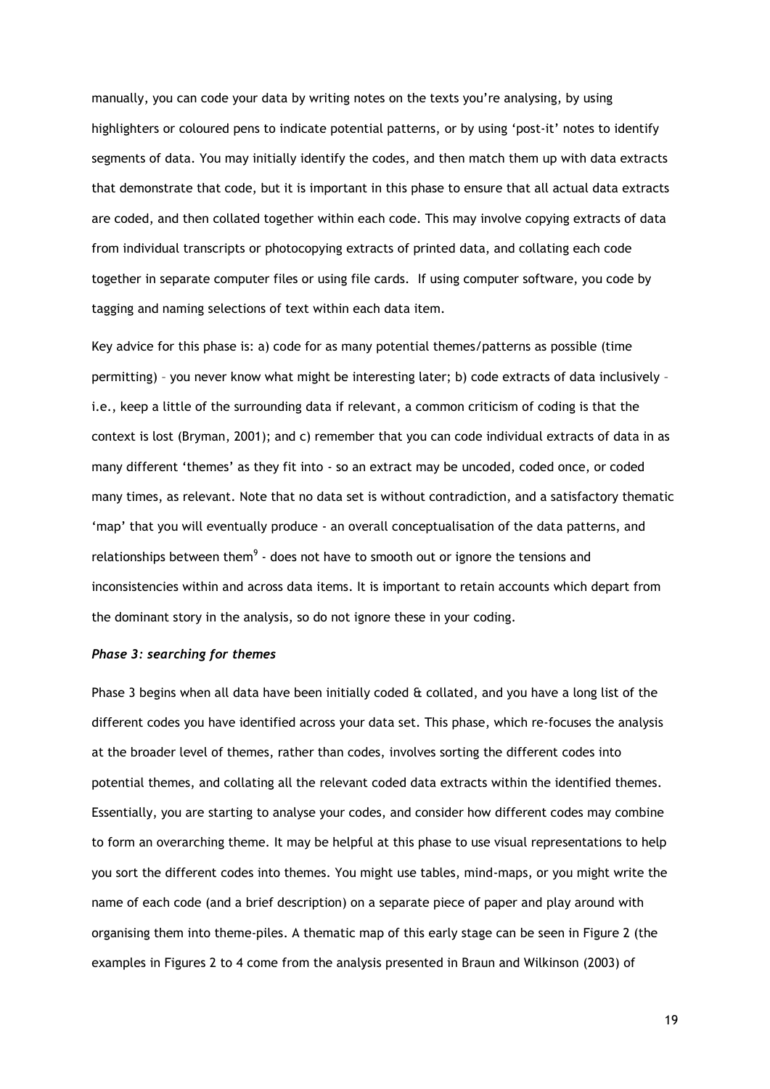manually, you can code your data by writing notes on the texts you"re analysing, by using highlighters or coloured pens to indicate potential patterns, or by using 'post-it' notes to identify segments of data. You may initially identify the codes, and then match them up with data extracts that demonstrate that code, but it is important in this phase to ensure that all actual data extracts are coded, and then collated together within each code. This may involve copying extracts of data from individual transcripts or photocopying extracts of printed data, and collating each code together in separate computer files or using file cards. If using computer software, you code by tagging and naming selections of text within each data item.

Key advice for this phase is: a) code for as many potential themes/patterns as possible (time permitting) – you never know what might be interesting later; b) code extracts of data inclusively – i.e., keep a little of the surrounding data if relevant, a common criticism of coding is that the context is lost (Bryman, 2001); and c) remember that you can code individual extracts of data in as many different "themes" as they fit into - so an extract may be uncoded, coded once, or coded many times, as relevant. Note that no data set is without contradiction, and a satisfactory thematic "map" that you will eventually produce - an overall conceptualisation of the data patterns, and relationships between them<sup>9</sup> - does not have to smooth out or ignore the tensions and inconsistencies within and across data items. It is important to retain accounts which depart from the dominant story in the analysis, so do not ignore these in your coding.

#### *Phase 3: searching for themes*

Phase 3 begins when all data have been initially coded  $\alpha$  collated, and you have a long list of the different codes you have identified across your data set. This phase, which re-focuses the analysis at the broader level of themes, rather than codes, involves sorting the different codes into potential themes, and collating all the relevant coded data extracts within the identified themes. Essentially, you are starting to analyse your codes, and consider how different codes may combine to form an overarching theme. It may be helpful at this phase to use visual representations to help you sort the different codes into themes. You might use tables, mind-maps, or you might write the name of each code (and a brief description) on a separate piece of paper and play around with organising them into theme-piles. A thematic map of this early stage can be seen in Figure 2 (the examples in Figures 2 to 4 come from the analysis presented in Braun and Wilkinson (2003) of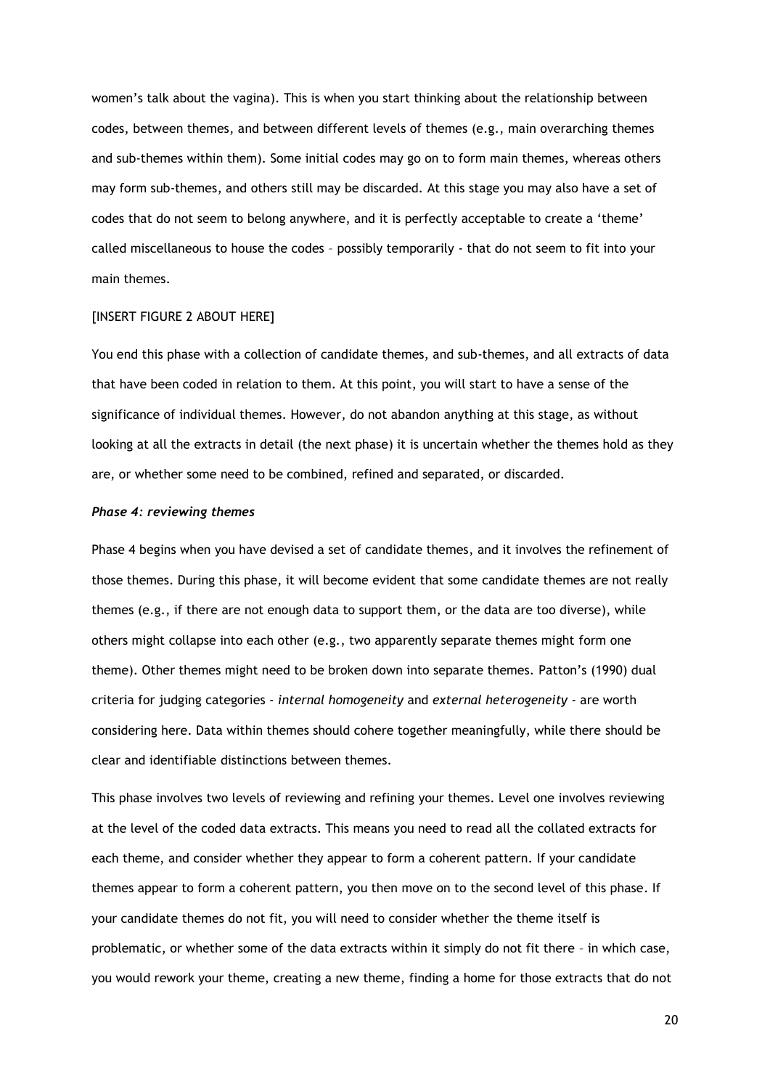women"s talk about the vagina). This is when you start thinking about the relationship between codes, between themes, and between different levels of themes (e.g., main overarching themes and sub-themes within them). Some initial codes may go on to form main themes, whereas others may form sub-themes, and others still may be discarded. At this stage you may also have a set of codes that do not seem to belong anywhere, and it is perfectly acceptable to create a "theme" called miscellaneous to house the codes – possibly temporarily - that do not seem to fit into your main themes.

#### [INSERT FIGURE 2 ABOUT HERE]

You end this phase with a collection of candidate themes, and sub-themes, and all extracts of data that have been coded in relation to them. At this point, you will start to have a sense of the significance of individual themes. However, do not abandon anything at this stage, as without looking at all the extracts in detail (the next phase) it is uncertain whether the themes hold as they are, or whether some need to be combined, refined and separated, or discarded.

#### *Phase 4: reviewing themes*

Phase 4 begins when you have devised a set of candidate themes, and it involves the refinement of those themes. During this phase, it will become evident that some candidate themes are not really themes (e.g., if there are not enough data to support them, or the data are too diverse), while others might collapse into each other (e.g., two apparently separate themes might form one theme). Other themes might need to be broken down into separate themes. Patton"s (1990) dual criteria for judging categories - *internal homogeneity* and *external heterogeneity* - are worth considering here. Data within themes should cohere together meaningfully, while there should be clear and identifiable distinctions between themes.

This phase involves two levels of reviewing and refining your themes. Level one involves reviewing at the level of the coded data extracts. This means you need to read all the collated extracts for each theme, and consider whether they appear to form a coherent pattern. If your candidate themes appear to form a coherent pattern, you then move on to the second level of this phase. If your candidate themes do not fit, you will need to consider whether the theme itself is problematic, or whether some of the data extracts within it simply do not fit there – in which case, you would rework your theme, creating a new theme, finding a home for those extracts that do not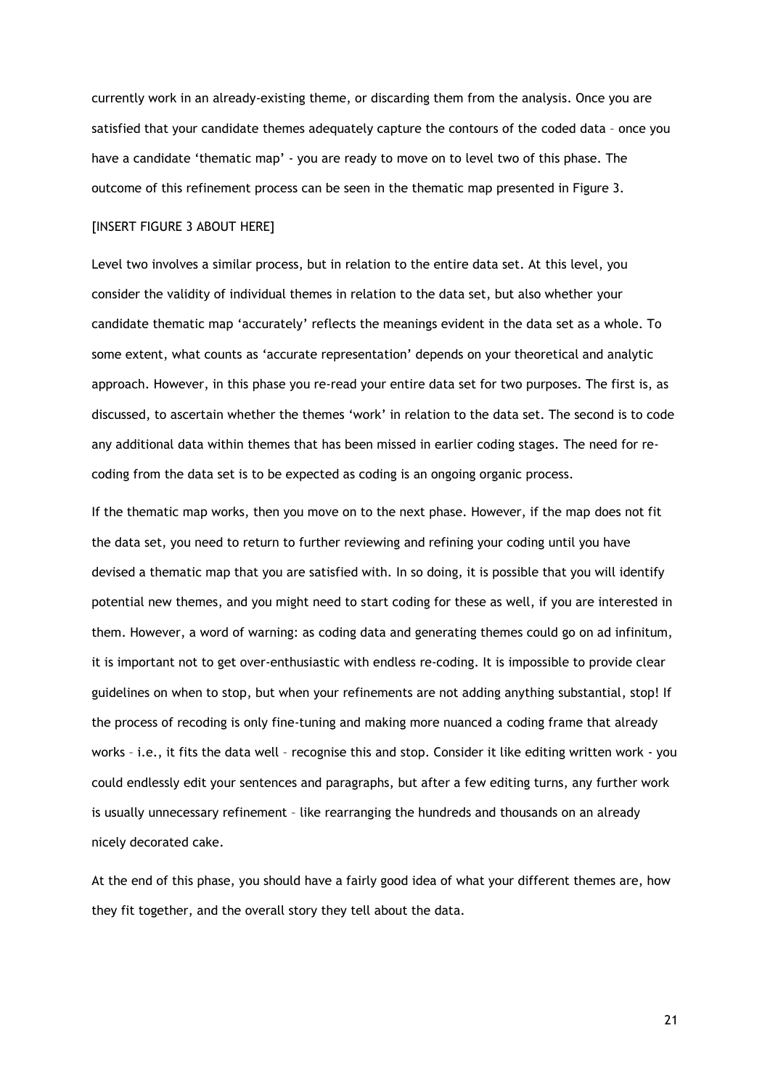currently work in an already-existing theme, or discarding them from the analysis. Once you are satisfied that your candidate themes adequately capture the contours of the coded data – once you have a candidate "thematic map" - you are ready to move on to level two of this phase. The outcome of this refinement process can be seen in the thematic map presented in Figure 3.

## [INSERT FIGURE 3 ABOUT HERE]

Level two involves a similar process, but in relation to the entire data set. At this level, you consider the validity of individual themes in relation to the data set, but also whether your candidate thematic map "accurately" reflects the meanings evident in the data set as a whole. To some extent, what counts as 'accurate representation' depends on your theoretical and analytic approach. However, in this phase you re-read your entire data set for two purposes. The first is, as discussed, to ascertain whether the themes "work" in relation to the data set. The second is to code any additional data within themes that has been missed in earlier coding stages. The need for recoding from the data set is to be expected as coding is an ongoing organic process.

If the thematic map works, then you move on to the next phase. However, if the map does not fit the data set, you need to return to further reviewing and refining your coding until you have devised a thematic map that you are satisfied with. In so doing, it is possible that you will identify potential new themes, and you might need to start coding for these as well, if you are interested in them. However, a word of warning: as coding data and generating themes could go on ad infinitum, it is important not to get over-enthusiastic with endless re-coding. It is impossible to provide clear guidelines on when to stop, but when your refinements are not adding anything substantial, stop! If the process of recoding is only fine-tuning and making more nuanced a coding frame that already works – i.e., it fits the data well – recognise this and stop. Consider it like editing written work - you could endlessly edit your sentences and paragraphs, but after a few editing turns, any further work is usually unnecessary refinement – like rearranging the hundreds and thousands on an already nicely decorated cake.

At the end of this phase, you should have a fairly good idea of what your different themes are, how they fit together, and the overall story they tell about the data.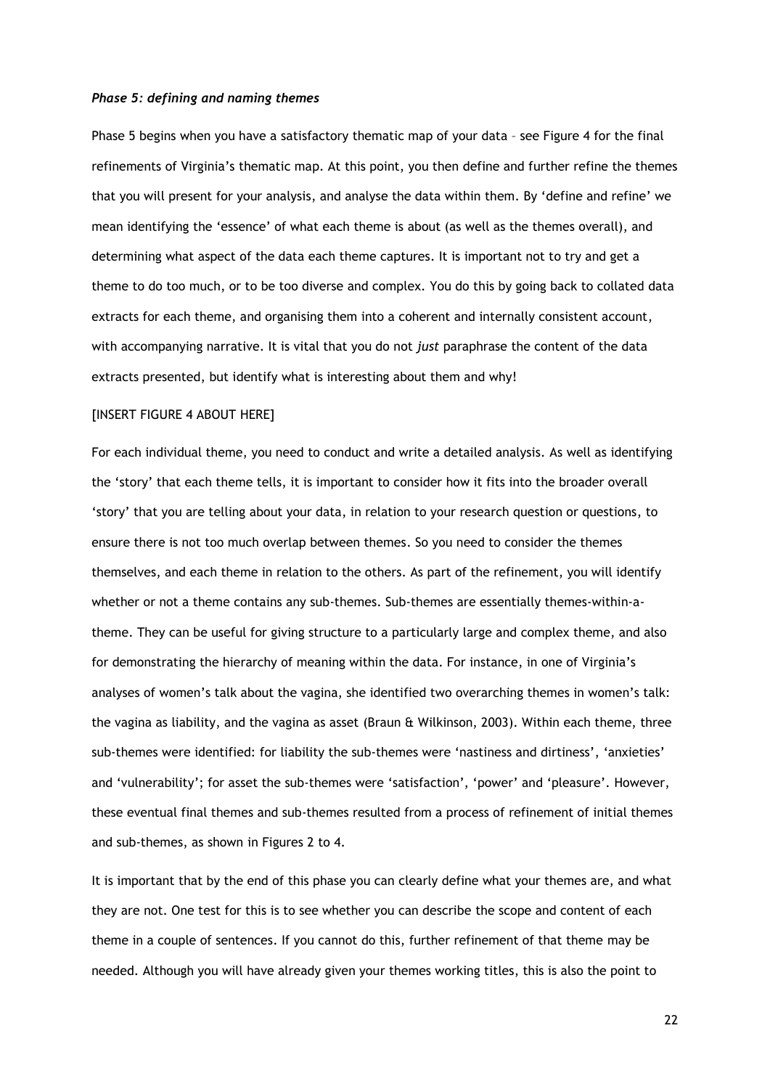#### *Phase 5: defining and naming themes*

Phase 5 begins when you have a satisfactory thematic map of your data – see Figure 4 for the final refinements of Virginia's thematic map. At this point, you then define and further refine the themes that you will present for your analysis, and analyse the data within them. By "define and refine" we mean identifying the "essence" of what each theme is about (as well as the themes overall), and determining what aspect of the data each theme captures. It is important not to try and get a theme to do too much, or to be too diverse and complex. You do this by going back to collated data extracts for each theme, and organising them into a coherent and internally consistent account, with accompanying narrative. It is vital that you do not *just* paraphrase the content of the data extracts presented, but identify what is interesting about them and why!

## [INSERT FIGURE 4 ABOUT HERE]

For each individual theme, you need to conduct and write a detailed analysis. As well as identifying the "story" that each theme tells, it is important to consider how it fits into the broader overall "story" that you are telling about your data, in relation to your research question or questions, to ensure there is not too much overlap between themes. So you need to consider the themes themselves, and each theme in relation to the others. As part of the refinement, you will identify whether or not a theme contains any sub-themes. Sub-themes are essentially themes-within-atheme. They can be useful for giving structure to a particularly large and complex theme, and also for demonstrating the hierarchy of meaning within the data. For instance, in one of Virginia's analyses of women"s talk about the vagina, she identified two overarching themes in women"s talk: the vagina as liability, and the vagina as asset (Braun & Wilkinson, 2003). Within each theme, three sub-themes were identified: for liability the sub-themes were 'nastiness and dirtiness', 'anxieties' and 'vulnerability'; for asset the sub-themes were 'satisfaction', 'power' and 'pleasure'. However, these eventual final themes and sub-themes resulted from a process of refinement of initial themes and sub-themes, as shown in Figures 2 to 4.

It is important that by the end of this phase you can clearly define what your themes are, and what they are not. One test for this is to see whether you can describe the scope and content of each theme in a couple of sentences. If you cannot do this, further refinement of that theme may be needed. Although you will have already given your themes working titles, this is also the point to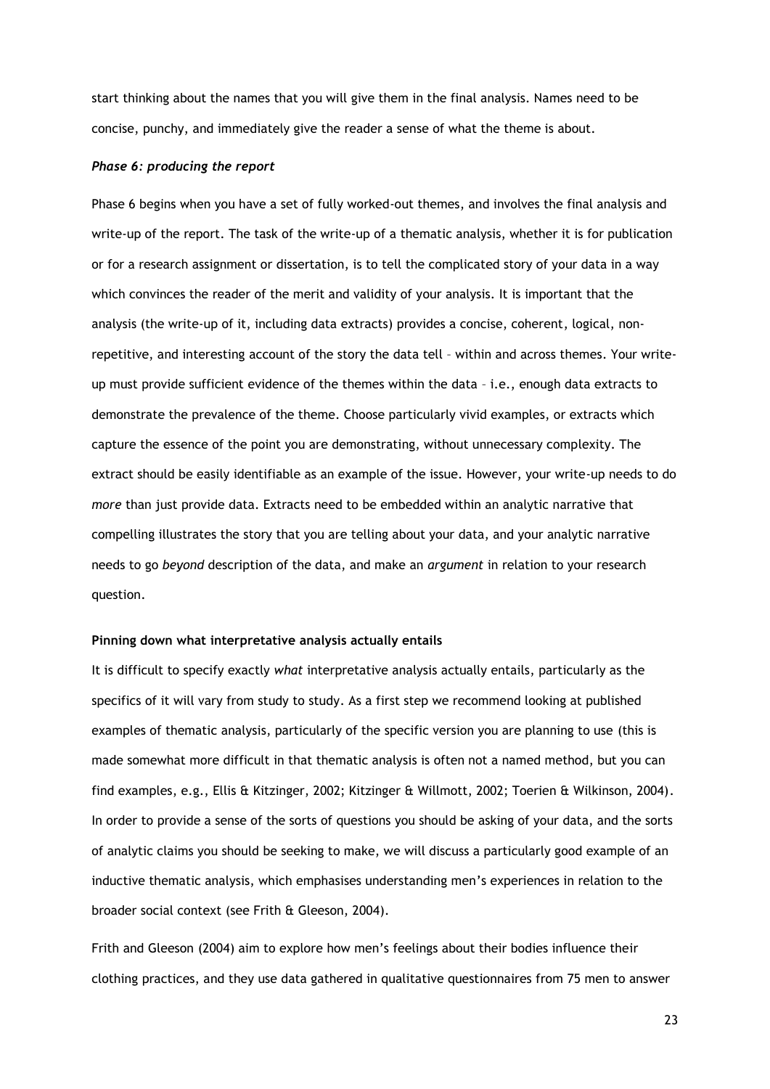start thinking about the names that you will give them in the final analysis. Names need to be concise, punchy, and immediately give the reader a sense of what the theme is about.

#### *Phase 6: producing the report*

Phase 6 begins when you have a set of fully worked-out themes, and involves the final analysis and write-up of the report. The task of the write-up of a thematic analysis, whether it is for publication or for a research assignment or dissertation, is to tell the complicated story of your data in a way which convinces the reader of the merit and validity of your analysis. It is important that the analysis (the write-up of it, including data extracts) provides a concise, coherent, logical, nonrepetitive, and interesting account of the story the data tell – within and across themes. Your writeup must provide sufficient evidence of the themes within the data – i.e., enough data extracts to demonstrate the prevalence of the theme. Choose particularly vivid examples, or extracts which capture the essence of the point you are demonstrating, without unnecessary complexity. The extract should be easily identifiable as an example of the issue. However, your write-up needs to do *more* than just provide data. Extracts need to be embedded within an analytic narrative that compelling illustrates the story that you are telling about your data, and your analytic narrative needs to go *beyond* description of the data, and make an *argument* in relation to your research question.

#### **Pinning down what interpretative analysis actually entails**

It is difficult to specify exactly *what* interpretative analysis actually entails, particularly as the specifics of it will vary from study to study. As a first step we recommend looking at published examples of thematic analysis, particularly of the specific version you are planning to use (this is made somewhat more difficult in that thematic analysis is often not a named method, but you can find examples, e.g., Ellis & Kitzinger, 2002; Kitzinger & Willmott, 2002; Toerien & Wilkinson, 2004). In order to provide a sense of the sorts of questions you should be asking of your data, and the sorts of analytic claims you should be seeking to make, we will discuss a particularly good example of an inductive thematic analysis, which emphasises understanding men"s experiences in relation to the broader social context (see Frith & Gleeson, 2004).

Frith and Gleeson (2004) aim to explore how men's feelings about their bodies influence their clothing practices, and they use data gathered in qualitative questionnaires from 75 men to answer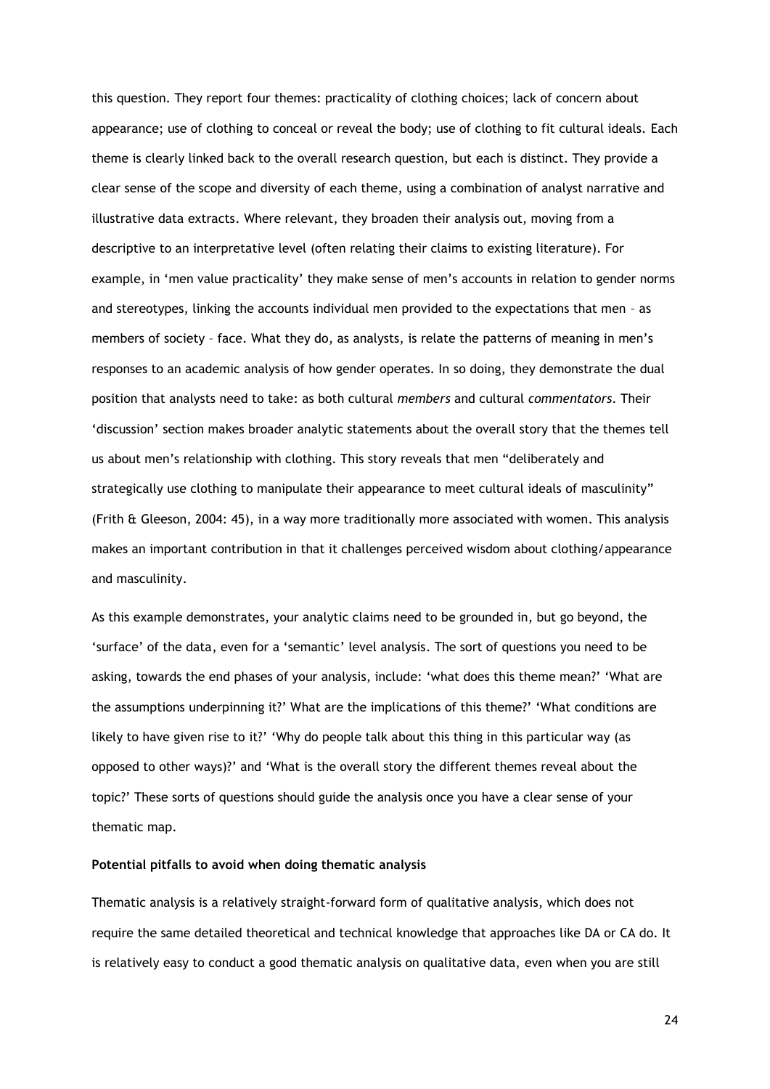this question. They report four themes: practicality of clothing choices; lack of concern about appearance; use of clothing to conceal or reveal the body; use of clothing to fit cultural ideals. Each theme is clearly linked back to the overall research question, but each is distinct. They provide a clear sense of the scope and diversity of each theme, using a combination of analyst narrative and illustrative data extracts. Where relevant, they broaden their analysis out, moving from a descriptive to an interpretative level (often relating their claims to existing literature). For example, in 'men value practicality' they make sense of men's accounts in relation to gender norms and stereotypes, linking the accounts individual men provided to the expectations that men – as members of society – face. What they do, as analysts, is relate the patterns of meaning in men"s responses to an academic analysis of how gender operates. In so doing, they demonstrate the dual position that analysts need to take: as both cultural *members* and cultural *commentators*. Their "discussion" section makes broader analytic statements about the overall story that the themes tell us about men"s relationship with clothing. This story reveals that men "deliberately and strategically use clothing to manipulate their appearance to meet cultural ideals of masculinity" (Frith & Gleeson, 2004: 45), in a way more traditionally more associated with women. This analysis makes an important contribution in that it challenges perceived wisdom about clothing/appearance and masculinity.

As this example demonstrates, your analytic claims need to be grounded in, but go beyond, the "surface" of the data, even for a "semantic" level analysis. The sort of questions you need to be asking, towards the end phases of your analysis, include: "what does this theme mean?" "What are the assumptions underpinning it?" What are the implications of this theme?" "What conditions are likely to have given rise to it?' 'Why do people talk about this thing in this particular way (as opposed to other ways)?" and "What is the overall story the different themes reveal about the topic?" These sorts of questions should guide the analysis once you have a clear sense of your thematic map.

## **Potential pitfalls to avoid when doing thematic analysis**

Thematic analysis is a relatively straight-forward form of qualitative analysis, which does not require the same detailed theoretical and technical knowledge that approaches like DA or CA do. It is relatively easy to conduct a good thematic analysis on qualitative data, even when you are still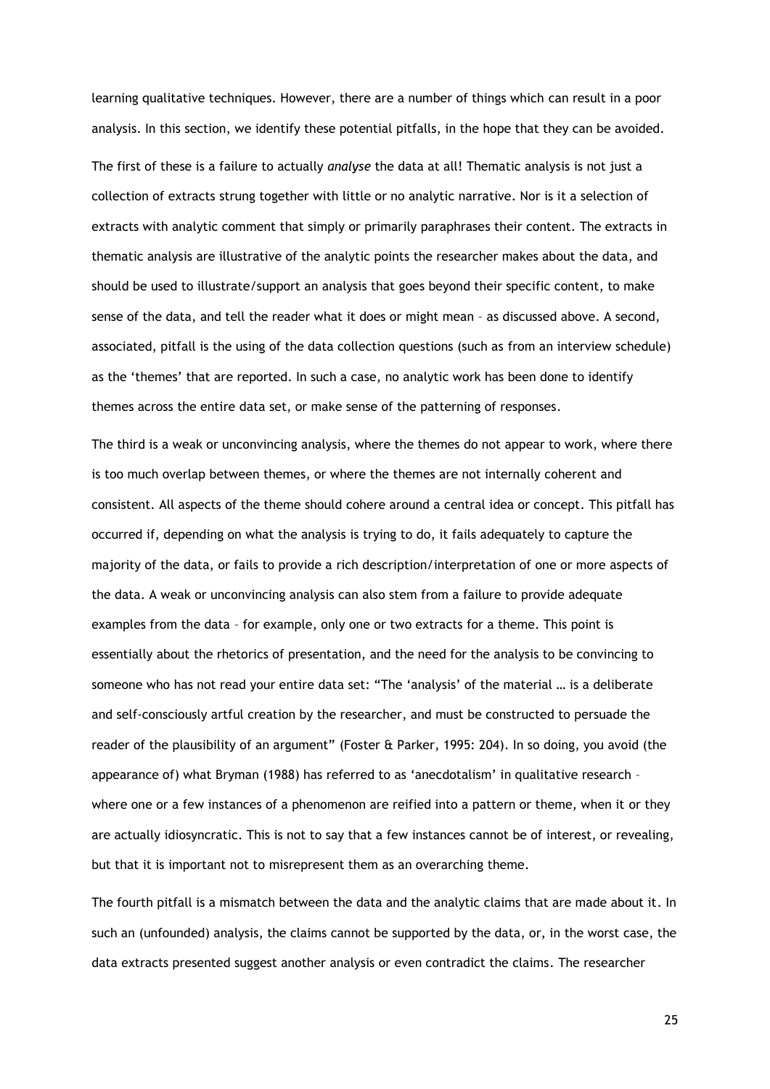learning qualitative techniques. However, there are a number of things which can result in a poor analysis. In this section, we identify these potential pitfalls, in the hope that they can be avoided. The first of these is a failure to actually *analyse* the data at all! Thematic analysis is not just a collection of extracts strung together with little or no analytic narrative. Nor is it a selection of extracts with analytic comment that simply or primarily paraphrases their content. The extracts in thematic analysis are illustrative of the analytic points the researcher makes about the data, and should be used to illustrate/support an analysis that goes beyond their specific content, to make sense of the data, and tell the reader what it does or might mean – as discussed above. A second, associated, pitfall is the using of the data collection questions (such as from an interview schedule) as the "themes" that are reported. In such a case, no analytic work has been done to identify themes across the entire data set, or make sense of the patterning of responses.

The third is a weak or unconvincing analysis, where the themes do not appear to work, where there is too much overlap between themes, or where the themes are not internally coherent and consistent. All aspects of the theme should cohere around a central idea or concept. This pitfall has occurred if, depending on what the analysis is trying to do, it fails adequately to capture the majority of the data, or fails to provide a rich description/interpretation of one or more aspects of the data. A weak or unconvincing analysis can also stem from a failure to provide adequate examples from the data – for example, only one or two extracts for a theme. This point is essentially about the rhetorics of presentation, and the need for the analysis to be convincing to someone who has not read your entire data set: "The "analysis" of the material … is a deliberate and self-consciously artful creation by the researcher, and must be constructed to persuade the reader of the plausibility of an argument" (Foster & Parker, 1995: 204). In so doing, you avoid (the appearance of) what Bryman (1988) has referred to as "anecdotalism" in qualitative research – where one or a few instances of a phenomenon are reified into a pattern or theme, when it or they are actually idiosyncratic. This is not to say that a few instances cannot be of interest, or revealing, but that it is important not to misrepresent them as an overarching theme.

The fourth pitfall is a mismatch between the data and the analytic claims that are made about it. In such an (unfounded) analysis, the claims cannot be supported by the data, or, in the worst case, the data extracts presented suggest another analysis or even contradict the claims. The researcher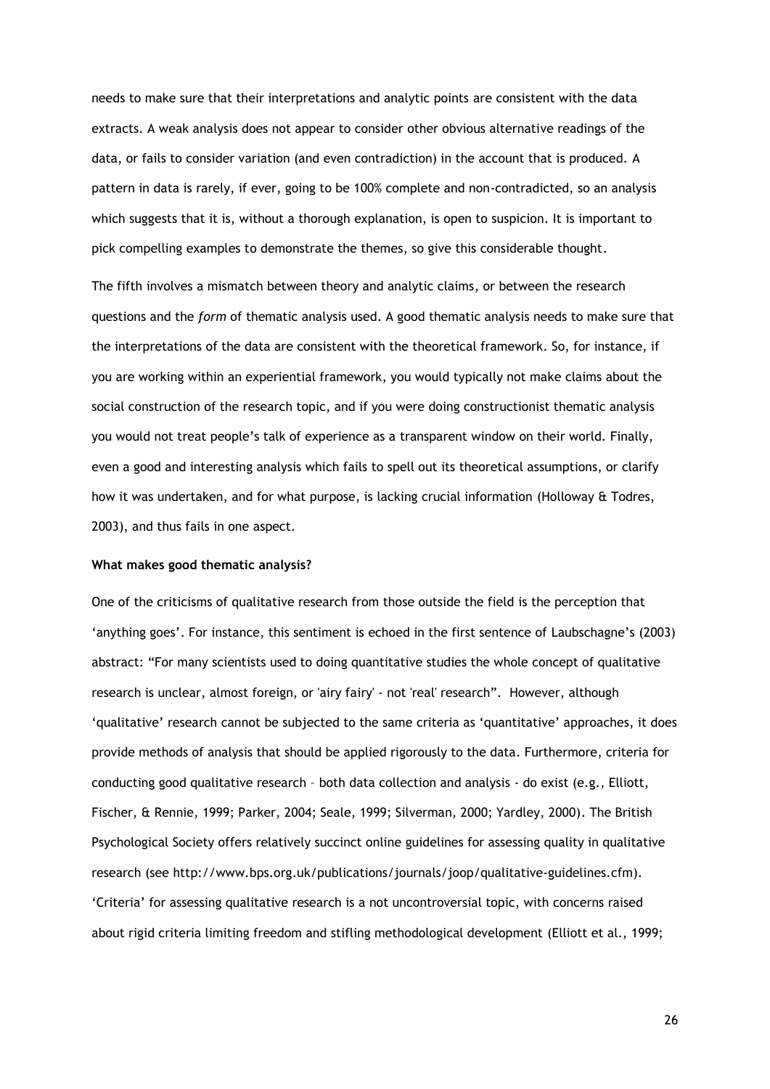needs to make sure that their interpretations and analytic points are consistent with the data extracts. A weak analysis does not appear to consider other obvious alternative readings of the data, or fails to consider variation (and even contradiction) in the account that is produced. A pattern in data is rarely, if ever, going to be 100% complete and non-contradicted, so an analysis which suggests that it is, without a thorough explanation, is open to suspicion. It is important to pick compelling examples to demonstrate the themes, so give this considerable thought.

The fifth involves a mismatch between theory and analytic claims, or between the research questions and the *form* of thematic analysis used. A good thematic analysis needs to make sure that the interpretations of the data are consistent with the theoretical framework. So, for instance, if you are working within an experiential framework, you would typically not make claims about the social construction of the research topic, and if you were doing constructionist thematic analysis you would not treat people"s talk of experience as a transparent window on their world. Finally, even a good and interesting analysis which fails to spell out its theoretical assumptions, or clarify how it was undertaken, and for what purpose, is lacking crucial information (Holloway & Todres, 2003), and thus fails in one aspect.

#### **What makes good thematic analysis?**

One of the criticisms of qualitative research from those outside the field is the perception that 'anything goes'. For instance, this sentiment is echoed in the first sentence of Laubschagne's (2003) abstract: "For many scientists used to doing quantitative studies the whole concept of qualitative research is unclear, almost foreign, or 'airy fairy' - not 'real' research". However, although "qualitative" research cannot be subjected to the same criteria as "quantitative" approaches, it does provide methods of analysis that should be applied rigorously to the data. Furthermore, criteria for conducting good qualitative research – both data collection and analysis - do exist (e.g., Elliott, Fischer, & Rennie, 1999; Parker, 2004; Seale, 1999; Silverman, 2000; Yardley, 2000). The British Psychological Society offers relatively succinct online guidelines for assessing quality in qualitative research (see http://www.bps.org.uk/publications/journals/joop/qualitative-guidelines.cfm). "Criteria" for assessing qualitative research is a not uncontroversial topic, with concerns raised about rigid criteria limiting freedom and stifling methodological development (Elliott et al., 1999;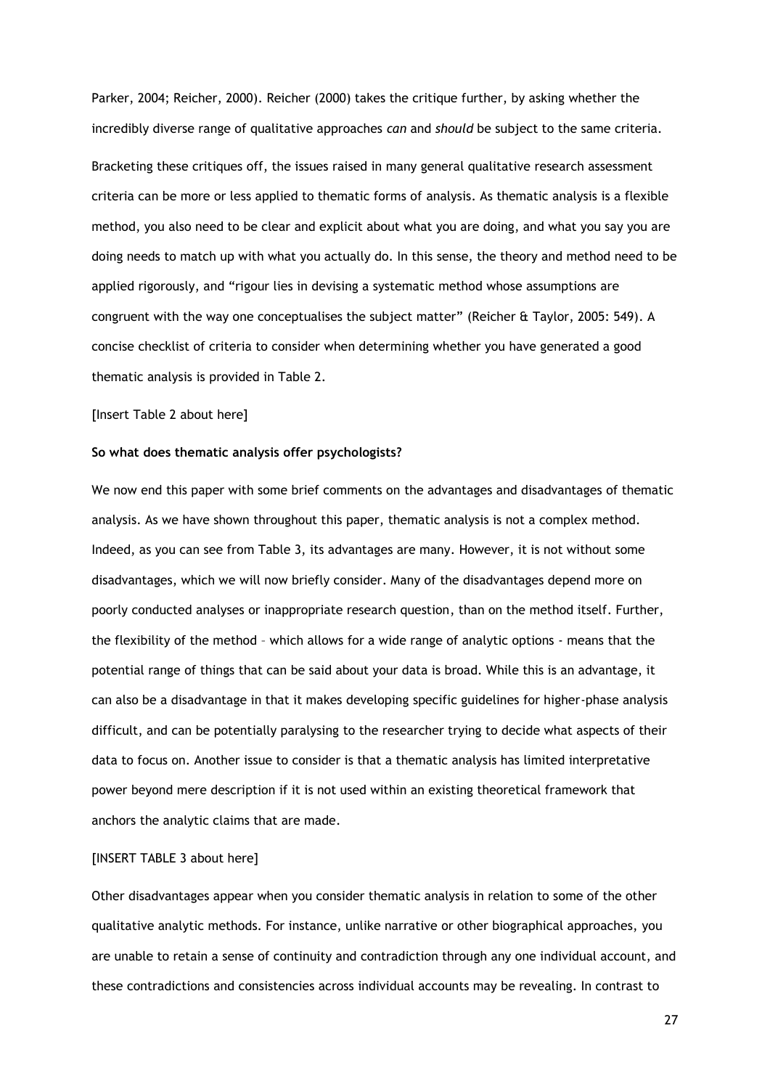Parker, 2004; Reicher, 2000). Reicher (2000) takes the critique further, by asking whether the incredibly diverse range of qualitative approaches *can* and *should* be subject to the same criteria. Bracketing these critiques off, the issues raised in many general qualitative research assessment criteria can be more or less applied to thematic forms of analysis. As thematic analysis is a flexible method, you also need to be clear and explicit about what you are doing, and what you say you are doing needs to match up with what you actually do. In this sense, the theory and method need to be applied rigorously, and "rigour lies in devising a systematic method whose assumptions are congruent with the way one conceptualises the subject matter" (Reicher & Taylor, 2005: 549). A concise checklist of criteria to consider when determining whether you have generated a good thematic analysis is provided in Table 2.

## [Insert Table 2 about here]

## **So what does thematic analysis offer psychologists?**

We now end this paper with some brief comments on the advantages and disadvantages of thematic analysis. As we have shown throughout this paper, thematic analysis is not a complex method. Indeed, as you can see from Table 3, its advantages are many. However, it is not without some disadvantages, which we will now briefly consider. Many of the disadvantages depend more on poorly conducted analyses or inappropriate research question, than on the method itself. Further, the flexibility of the method – which allows for a wide range of analytic options - means that the potential range of things that can be said about your data is broad. While this is an advantage, it can also be a disadvantage in that it makes developing specific guidelines for higher-phase analysis difficult, and can be potentially paralysing to the researcher trying to decide what aspects of their data to focus on. Another issue to consider is that a thematic analysis has limited interpretative power beyond mere description if it is not used within an existing theoretical framework that anchors the analytic claims that are made.

## [INSERT TABLE 3 about here]

Other disadvantages appear when you consider thematic analysis in relation to some of the other qualitative analytic methods. For instance, unlike narrative or other biographical approaches, you are unable to retain a sense of continuity and contradiction through any one individual account, and these contradictions and consistencies across individual accounts may be revealing. In contrast to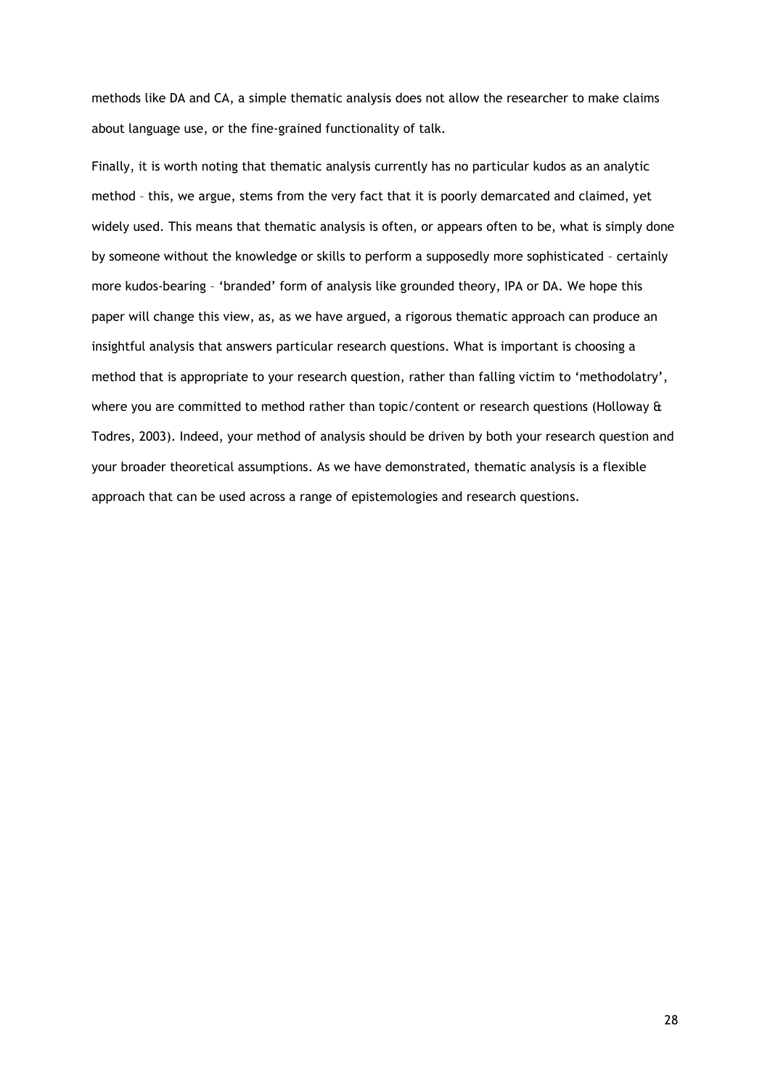methods like DA and CA, a simple thematic analysis does not allow the researcher to make claims about language use, or the fine-grained functionality of talk.

Finally, it is worth noting that thematic analysis currently has no particular kudos as an analytic method – this, we argue, stems from the very fact that it is poorly demarcated and claimed, yet widely used. This means that thematic analysis is often, or appears often to be, what is simply done by someone without the knowledge or skills to perform a supposedly more sophisticated – certainly more kudos-bearing – "branded" form of analysis like grounded theory, IPA or DA. We hope this paper will change this view, as, as we have argued, a rigorous thematic approach can produce an insightful analysis that answers particular research questions. What is important is choosing a method that is appropriate to your research question, rather than falling victim to "methodolatry", where you are committed to method rather than topic/content or research questions (Holloway & Todres, 2003). Indeed, your method of analysis should be driven by both your research question and your broader theoretical assumptions. As we have demonstrated, thematic analysis is a flexible approach that can be used across a range of epistemologies and research questions.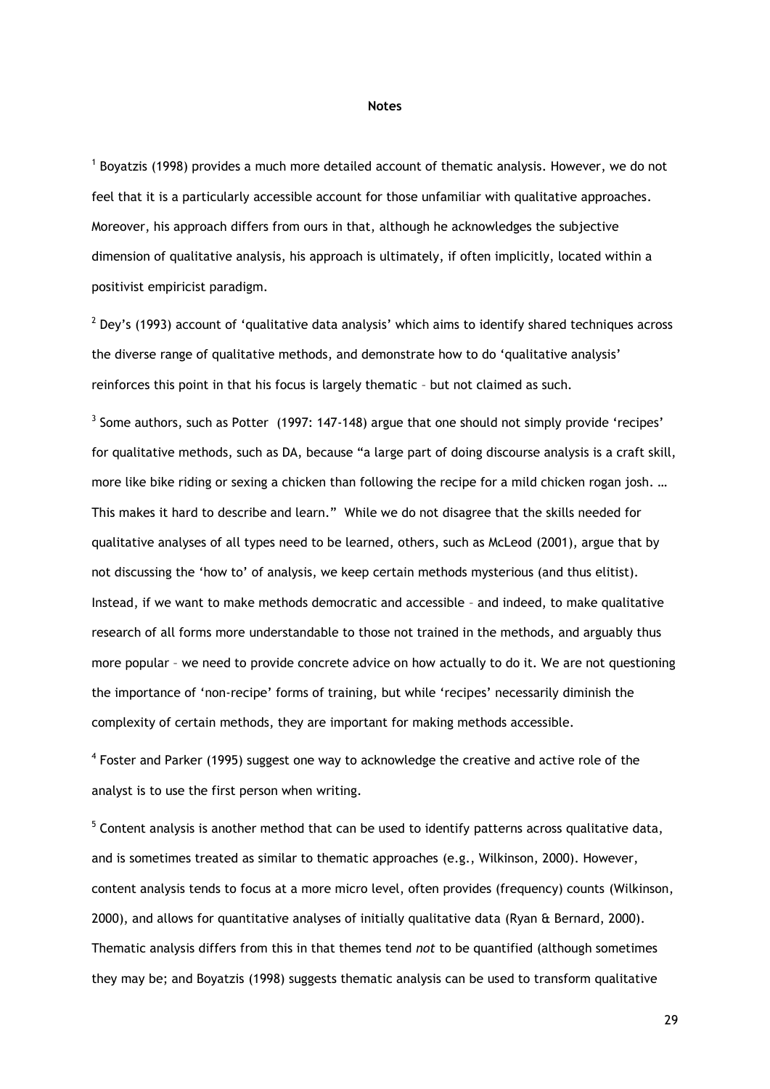#### **Notes**

<sup>1</sup> Boyatzis (1998) provides a much more detailed account of thematic analysis. However, we do not feel that it is a particularly accessible account for those unfamiliar with qualitative approaches. Moreover, his approach differs from ours in that, although he acknowledges the subjective dimension of qualitative analysis, his approach is ultimately, if often implicitly, located within a positivist empiricist paradigm.

 $2$  Dey's (1993) account of 'qualitative data analysis' which aims to identify shared techniques across the diverse range of qualitative methods, and demonstrate how to do "qualitative analysis" reinforces this point in that his focus is largely thematic – but not claimed as such.

 $3$  Some authors, such as Potter (1997: 147-148) argue that one should not simply provide 'recipes' for qualitative methods, such as DA, because "a large part of doing discourse analysis is a craft skill, more like bike riding or sexing a chicken than following the recipe for a mild chicken rogan josh. … This makes it hard to describe and learn." While we do not disagree that the skills needed for qualitative analyses of all types need to be learned, others, such as McLeod (2001), argue that by not discussing the "how to" of analysis, we keep certain methods mysterious (and thus elitist). Instead, if we want to make methods democratic and accessible – and indeed, to make qualitative research of all forms more understandable to those not trained in the methods, and arguably thus more popular – we need to provide concrete advice on how actually to do it. We are not questioning the importance of 'non-recipe' forms of training, but while 'recipes' necessarily diminish the complexity of certain methods, they are important for making methods accessible.

<sup>4</sup> Foster and Parker (1995) suggest one way to acknowledge the creative and active role of the analyst is to use the first person when writing.

 $5$  Content analysis is another method that can be used to identify patterns across qualitative data, and is sometimes treated as similar to thematic approaches (e.g., Wilkinson, 2000). However, content analysis tends to focus at a more micro level, often provides (frequency) counts (Wilkinson, 2000), and allows for quantitative analyses of initially qualitative data (Ryan & Bernard, 2000). Thematic analysis differs from this in that themes tend *not* to be quantified (although sometimes they may be; and Boyatzis (1998) suggests thematic analysis can be used to transform qualitative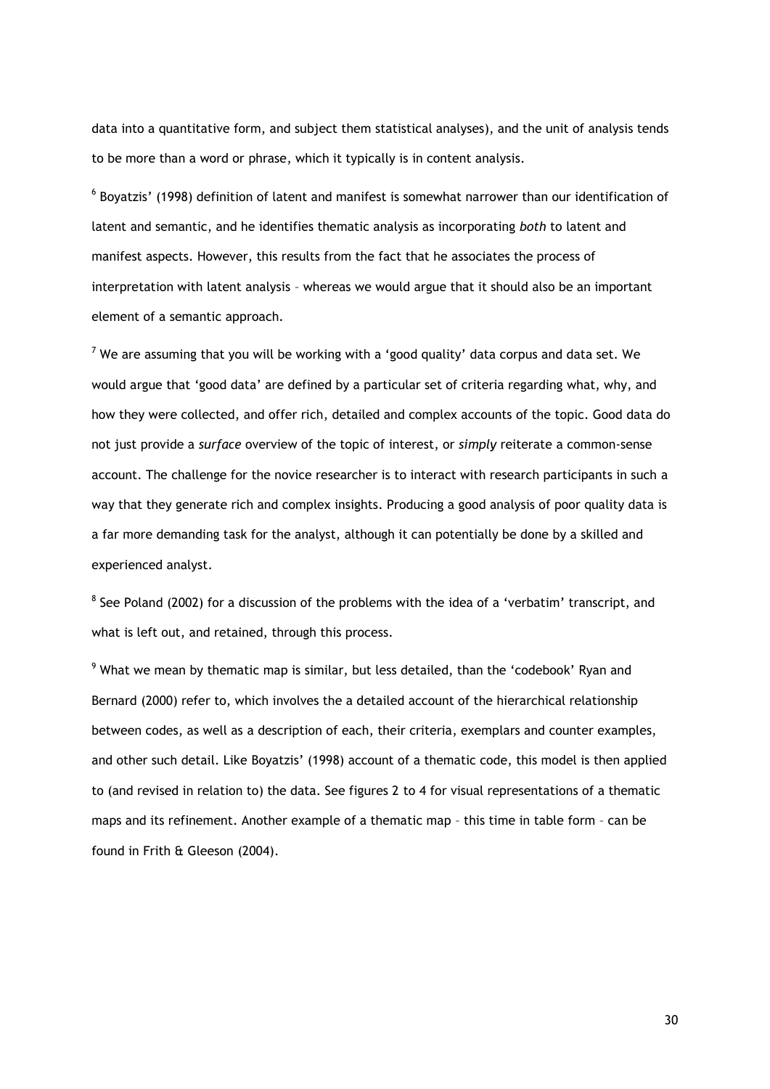data into a quantitative form, and subject them statistical analyses), and the unit of analysis tends to be more than a word or phrase, which it typically is in content analysis.

 $^6$  Boyatzis' (1998) definition of latent and manifest is somewhat narrower than our identification of latent and semantic, and he identifies thematic analysis as incorporating *both* to latent and manifest aspects. However, this results from the fact that he associates the process of interpretation with latent analysis – whereas we would argue that it should also be an important element of a semantic approach.

 $<sup>7</sup>$  We are assuming that you will be working with a 'good quality' data corpus and data set. We</sup> would argue that "good data" are defined by a particular set of criteria regarding what, why, and how they were collected, and offer rich, detailed and complex accounts of the topic. Good data do not just provide a *surface* overview of the topic of interest, or *simply* reiterate a common-sense account. The challenge for the novice researcher is to interact with research participants in such a way that they generate rich and complex insights. Producing a good analysis of poor quality data is a far more demanding task for the analyst, although it can potentially be done by a skilled and experienced analyst.

 $^8$  See Poland (2002) for a discussion of the problems with the idea of a 'verbatim' transcript, and what is left out, and retained, through this process.

<sup>9</sup> What we mean by thematic map is similar, but less detailed, than the 'codebook' Ryan and Bernard (2000) refer to, which involves the a detailed account of the hierarchical relationship between codes, as well as a description of each, their criteria, exemplars and counter examples, and other such detail. Like Boyatzis" (1998) account of a thematic code, this model is then applied to (and revised in relation to) the data. See figures 2 to 4 for visual representations of a thematic maps and its refinement. Another example of a thematic map – this time in table form – can be found in Frith & Gleeson (2004).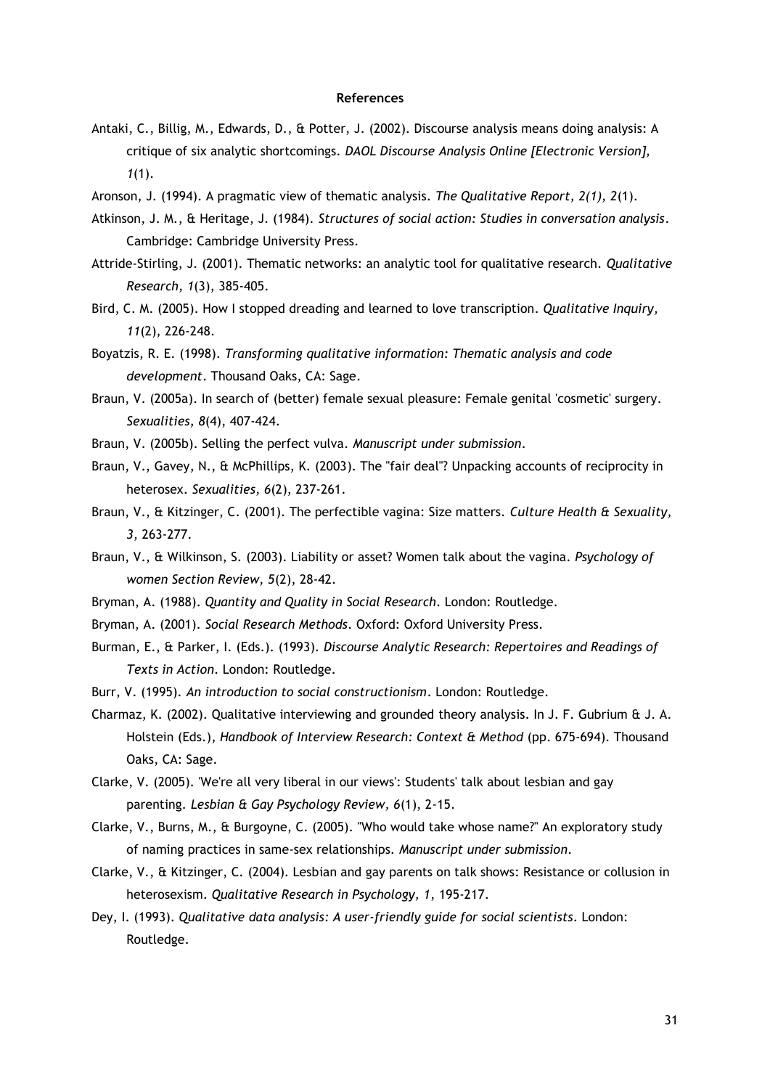#### **References**

- Antaki, C., Billig, M., Edwards, D., & Potter, J. (2002). Discourse analysis means doing analysis: A critique of six analytic shortcomings. *DAOL Discourse Analysis Online [Electronic Version], 1*(1).
- Aronson, J. (1994). A pragmatic view of thematic analysis. *The Qualitative Report, 2(1), 2*(1).
- Atkinson, J. M., & Heritage, J. (1984). *Structures of social action: Studies in conversation analysis*. Cambridge: Cambridge University Press.
- Attride-Stirling, J. (2001). Thematic networks: an analytic tool for qualitative research. *Qualitative Research, 1*(3), 385-405.
- Bird, C. M. (2005). How I stopped dreading and learned to love transcription. *Qualitative Inquiry, 11*(2), 226-248.
- Boyatzis, R. E. (1998). *Transforming qualitative information: Thematic analysis and code development*. Thousand Oaks, CA: Sage.
- Braun, V. (2005a). In search of (better) female sexual pleasure: Female genital 'cosmetic' surgery. *Sexualities, 8*(4), 407-424.
- Braun, V. (2005b). Selling the perfect vulva. *Manuscript under submission*.
- Braun, V., Gavey, N., & McPhillips, K. (2003). The "fair deal"? Unpacking accounts of reciprocity in heterosex. *Sexualities, 6*(2), 237-261.
- Braun, V., & Kitzinger, C. (2001). The perfectible vagina: Size matters. *Culture Health & Sexuality, 3*, 263-277.
- Braun, V., & Wilkinson, S. (2003). Liability or asset? Women talk about the vagina. *Psychology of women Section Review, 5*(2), 28-42.
- Bryman, A. (1988). *Quantity and Quality in Social Research*. London: Routledge.
- Bryman, A. (2001). *Social Research Methods*. Oxford: Oxford University Press.
- Burman, E., & Parker, I. (Eds.). (1993). *Discourse Analytic Research: Repertoires and Readings of Texts in Action*. London: Routledge.
- Burr, V. (1995). *An introduction to social constructionism*. London: Routledge.
- Charmaz, K. (2002). Qualitative interviewing and grounded theory analysis. In J. F. Gubrium & J. A. Holstein (Eds.), *Handbook of Interview Research: Context & Method* (pp. 675-694). Thousand Oaks, CA: Sage.
- Clarke, V. (2005). 'We're all very liberal in our views': Students' talk about lesbian and gay parenting. *Lesbian & Gay Psychology Review, 6*(1), 2-15.
- Clarke, V., Burns, M., & Burgoyne, C. (2005). "Who would take whose name?" An exploratory study of naming practices in same-sex relationships. *Manuscript under submission*.
- Clarke, V., & Kitzinger, C. (2004). Lesbian and gay parents on talk shows: Resistance or collusion in heterosexism. *Qualitative Research in Psychology, 1*, 195-217.
- Dey, I. (1993). *Qualitative data analysis: A user-friendly guide for social scientists*. London: Routledge.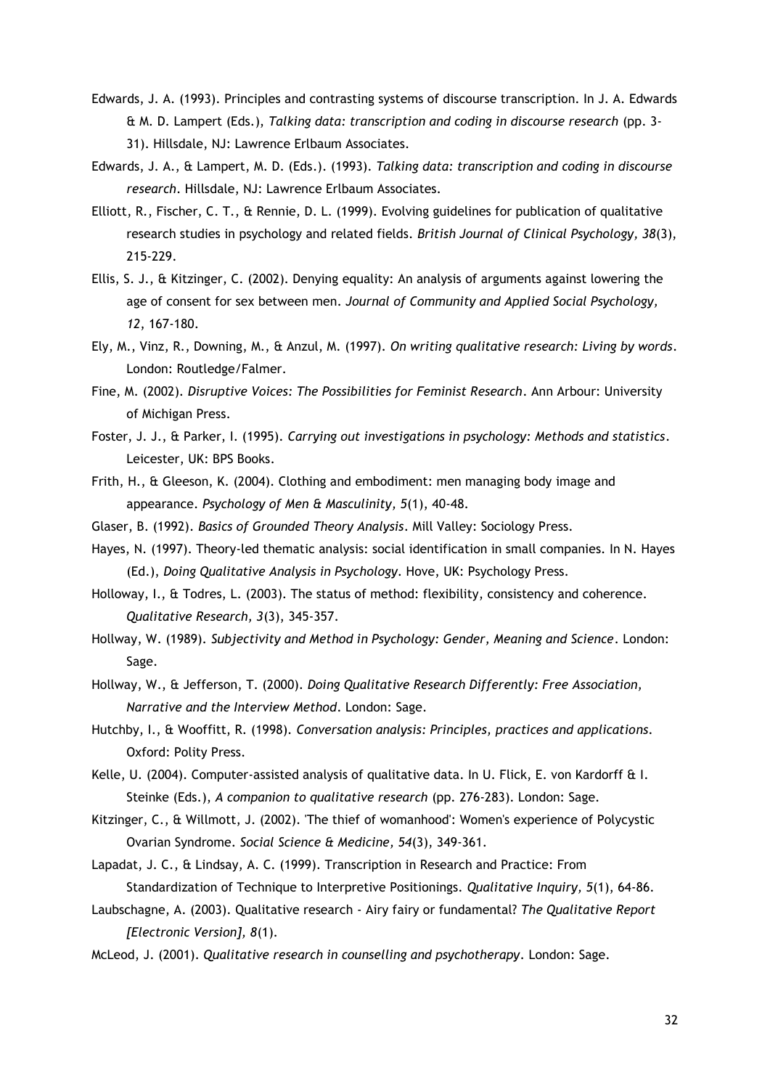- Edwards, J. A. (1993). Principles and contrasting systems of discourse transcription. In J. A. Edwards & M. D. Lampert (Eds.), *Talking data: transcription and coding in discourse research* (pp. 3- 31). Hillsdale, NJ: Lawrence Erlbaum Associates.
- Edwards, J. A., & Lampert, M. D. (Eds.). (1993). *Talking data: transcription and coding in discourse research*. Hillsdale, NJ: Lawrence Erlbaum Associates.
- Elliott, R., Fischer, C. T., & Rennie, D. L. (1999). Evolving guidelines for publication of qualitative research studies in psychology and related fields. *British Journal of Clinical Psychology, 38*(3), 215-229.
- Ellis, S. J., & Kitzinger, C. (2002). Denying equality: An analysis of arguments against lowering the age of consent for sex between men. *Journal of Community and Applied Social Psychology, 12*, 167-180.
- Ely, M., Vinz, R., Downing, M., & Anzul, M. (1997). *On writing qualitative research: Living by words*. London: Routledge/Falmer.
- Fine, M. (2002). *Disruptive Voices: The Possibilities for Feminist Research*. Ann Arbour: University of Michigan Press.
- Foster, J. J., & Parker, I. (1995). *Carrying out investigations in psychology: Methods and statistics*. Leicester, UK: BPS Books.
- Frith, H., & Gleeson, K. (2004). Clothing and embodiment: men managing body image and appearance. *Psychology of Men & Masculinity, 5*(1), 40-48.
- Glaser, B. (1992). *Basics of Grounded Theory Analysis*. Mill Valley: Sociology Press.
- Hayes, N. (1997). Theory-led thematic analysis: social identification in small companies. In N. Hayes (Ed.), *Doing Qualitative Analysis in Psychology*. Hove, UK: Psychology Press.
- Holloway, I., & Todres, L. (2003). The status of method: flexibility, consistency and coherence. *Qualitative Research, 3*(3), 345-357.
- Hollway, W. (1989). *Subjectivity and Method in Psychology: Gender, Meaning and Science*. London: Sage.
- Hollway, W., & Jefferson, T. (2000). *Doing Qualitative Research Differently: Free Association, Narrative and the Interview Method*. London: Sage.
- Hutchby, I., & Wooffitt, R. (1998). *Conversation analysis: Principles, practices and applications*. Oxford: Polity Press.
- Kelle, U. (2004). Computer-assisted analysis of qualitative data. In U. Flick, E. von Kardorff & I. Steinke (Eds.), *A companion to qualitative research* (pp. 276-283). London: Sage.
- Kitzinger, C., & Willmott, J. (2002). 'The thief of womanhood': Women's experience of Polycystic Ovarian Syndrome. *Social Science & Medicine, 54*(3), 349-361.
- Lapadat, J. C., & Lindsay, A. C. (1999). Transcription in Research and Practice: From Standardization of Technique to Interpretive Positionings. *Qualitative Inquiry, 5*(1), 64-86.
- Laubschagne, A. (2003). Qualitative research Airy fairy or fundamental? *The Qualitative Report [Electronic Version], 8*(1).
- McLeod, J. (2001). *Qualitative research in counselling and psychotherapy*. London: Sage.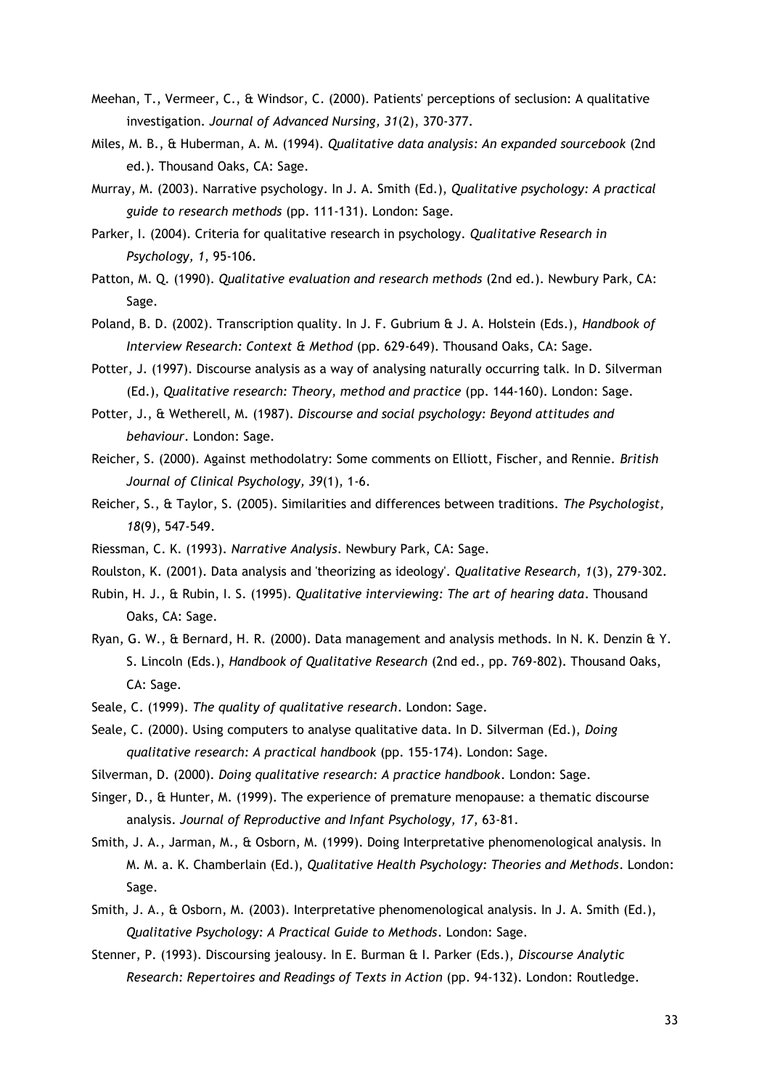- Meehan, T., Vermeer, C., & Windsor, C. (2000). Patients' perceptions of seclusion: A qualitative investigation. *Journal of Advanced Nursing, 31*(2), 370-377.
- Miles, M. B., & Huberman, A. M. (1994). *Qualitative data analysis: An expanded sourcebook* (2nd ed.). Thousand Oaks, CA: Sage.
- Murray, M. (2003). Narrative psychology. In J. A. Smith (Ed.), *Qualitative psychology: A practical guide to research methods* (pp. 111-131). London: Sage.
- Parker, I. (2004). Criteria for qualitative research in psychology. *Qualitative Research in Psychology, 1*, 95-106.
- Patton, M. Q. (1990). *Qualitative evaluation and research methods* (2nd ed.). Newbury Park, CA: Sage.
- Poland, B. D. (2002). Transcription quality. In J. F. Gubrium & J. A. Holstein (Eds.), *Handbook of Interview Research: Context & Method* (pp. 629-649). Thousand Oaks, CA: Sage.
- Potter, J. (1997). Discourse analysis as a way of analysing naturally occurring talk. In D. Silverman (Ed.), *Qualitative research: Theory, method and practice* (pp. 144-160). London: Sage.
- Potter, J., & Wetherell, M. (1987). *Discourse and social psychology: Beyond attitudes and behaviour*. London: Sage.
- Reicher, S. (2000). Against methodolatry: Some comments on Elliott, Fischer, and Rennie. *British Journal of Clinical Psychology, 39*(1), 1-6.
- Reicher, S., & Taylor, S. (2005). Similarities and differences between traditions. *The Psychologist, 18*(9), 547-549.
- Riessman, C. K. (1993). *Narrative Analysis*. Newbury Park, CA: Sage.
- Roulston, K. (2001). Data analysis and 'theorizing as ideology'. *Qualitative Research, 1*(3), 279-302.
- Rubin, H. J., & Rubin, I. S. (1995). *Qualitative interviewing: The art of hearing data*. Thousand Oaks, CA: Sage.
- Ryan, G. W., & Bernard, H. R. (2000). Data management and analysis methods. In N. K. Denzin & Y. S. Lincoln (Eds.), *Handbook of Qualitative Research* (2nd ed., pp. 769-802). Thousand Oaks, CA: Sage.
- Seale, C. (1999). *The quality of qualitative research*. London: Sage.
- Seale, C. (2000). Using computers to analyse qualitative data. In D. Silverman (Ed.), *Doing qualitative research: A practical handbook* (pp. 155-174). London: Sage.
- Silverman, D. (2000). *Doing qualitative research: A practice handbook*. London: Sage.
- Singer, D., & Hunter, M. (1999). The experience of premature menopause: a thematic discourse analysis. *Journal of Reproductive and Infant Psychology, 17*, 63-81.
- Smith, J. A., Jarman, M., & Osborn, M. (1999). Doing Interpretative phenomenological analysis. In M. M. a. K. Chamberlain (Ed.), *Qualitative Health Psychology: Theories and Methods*. London: Sage.
- Smith, J. A., & Osborn, M. (2003). Interpretative phenomenological analysis. In J. A. Smith (Ed.), *Qualitative Psychology: A Practical Guide to Methods*. London: Sage.
- Stenner, P. (1993). Discoursing jealousy. In E. Burman & I. Parker (Eds.), *Discourse Analytic Research: Repertoires and Readings of Texts in Action* (pp. 94-132). London: Routledge.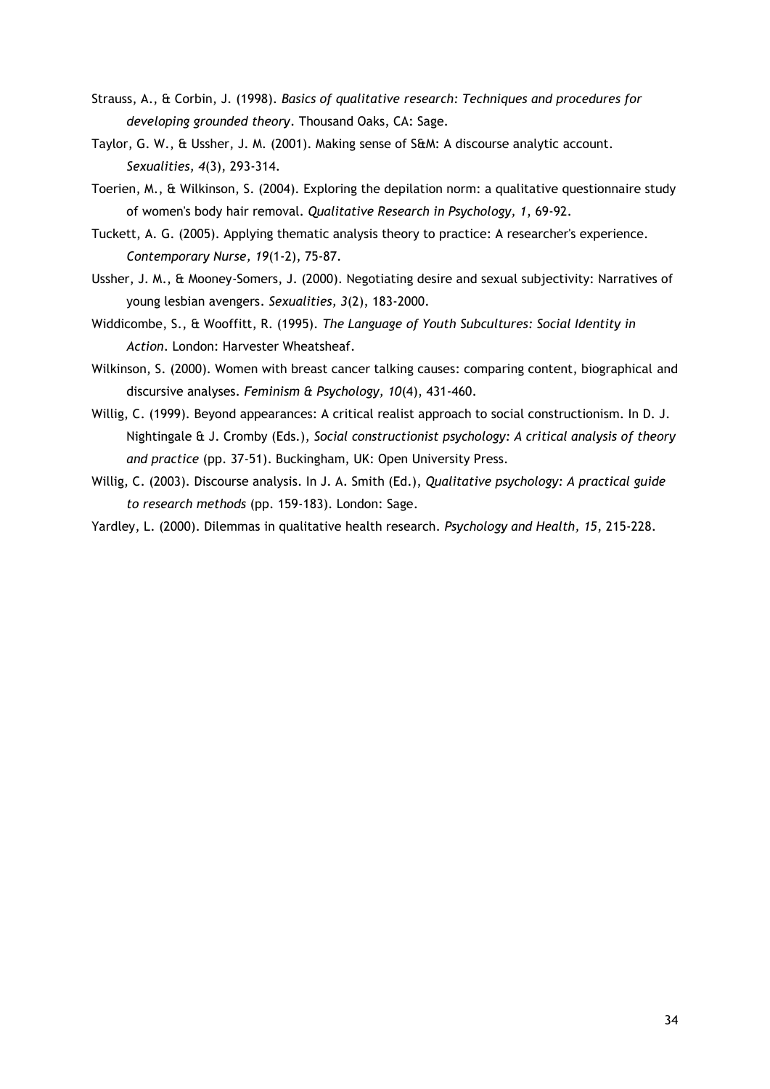- Strauss, A., & Corbin, J. (1998). *Basics of qualitative research: Techniques and procedures for developing grounded theory*. Thousand Oaks, CA: Sage.
- Taylor, G. W., & Ussher, J. M. (2001). Making sense of S&M: A discourse analytic account. *Sexualities, 4*(3), 293-314.
- Toerien, M., & Wilkinson, S. (2004). Exploring the depilation norm: a qualitative questionnaire study of women's body hair removal. *Qualitative Research in Psychology, 1*, 69-92.
- Tuckett, A. G. (2005). Applying thematic analysis theory to practice: A researcher's experience. *Contemporary Nurse, 19*(1-2), 75-87.
- Ussher, J. M., & Mooney-Somers, J. (2000). Negotiating desire and sexual subjectivity: Narratives of young lesbian avengers. *Sexualities, 3*(2), 183-2000.
- Widdicombe, S., & Wooffitt, R. (1995). *The Language of Youth Subcultures: Social Identity in Action*. London: Harvester Wheatsheaf.
- Wilkinson, S. (2000). Women with breast cancer talking causes: comparing content, biographical and discursive analyses. *Feminism & Psychology, 10*(4), 431-460.
- Willig, C. (1999). Beyond appearances: A critical realist approach to social constructionism. In D. J. Nightingale & J. Cromby (Eds.), *Social constructionist psychology: A critical analysis of theory and practice* (pp. 37-51). Buckingham, UK: Open University Press.
- Willig, C. (2003). Discourse analysis. In J. A. Smith (Ed.), *Qualitative psychology: A practical guide to research methods* (pp. 159-183). London: Sage.
- Yardley, L. (2000). Dilemmas in qualitative health research. *Psychology and Health, 15*, 215-228.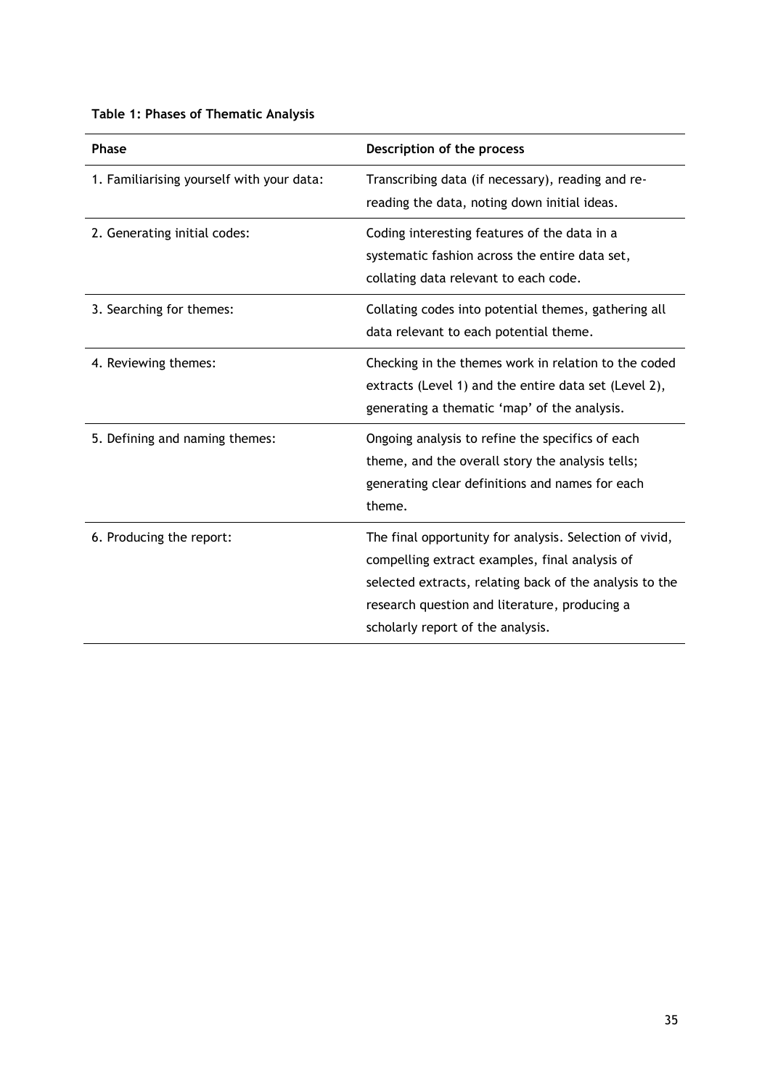| <b>Phase</b>                              | Description of the process                                                                                                                                                                                                                                 |
|-------------------------------------------|------------------------------------------------------------------------------------------------------------------------------------------------------------------------------------------------------------------------------------------------------------|
| 1. Familiarising yourself with your data: | Transcribing data (if necessary), reading and re-<br>reading the data, noting down initial ideas.                                                                                                                                                          |
| 2. Generating initial codes:              | Coding interesting features of the data in a<br>systematic fashion across the entire data set,<br>collating data relevant to each code.                                                                                                                    |
| 3. Searching for themes:                  | Collating codes into potential themes, gathering all<br>data relevant to each potential theme.                                                                                                                                                             |
| 4. Reviewing themes:                      | Checking in the themes work in relation to the coded<br>extracts (Level 1) and the entire data set (Level 2),<br>generating a thematic 'map' of the analysis.                                                                                              |
| 5. Defining and naming themes:            | Ongoing analysis to refine the specifics of each<br>theme, and the overall story the analysis tells;<br>generating clear definitions and names for each<br>theme.                                                                                          |
| 6. Producing the report:                  | The final opportunity for analysis. Selection of vivid,<br>compelling extract examples, final analysis of<br>selected extracts, relating back of the analysis to the<br>research question and literature, producing a<br>scholarly report of the analysis. |

# **Table 1: Phases of Thematic Analysis**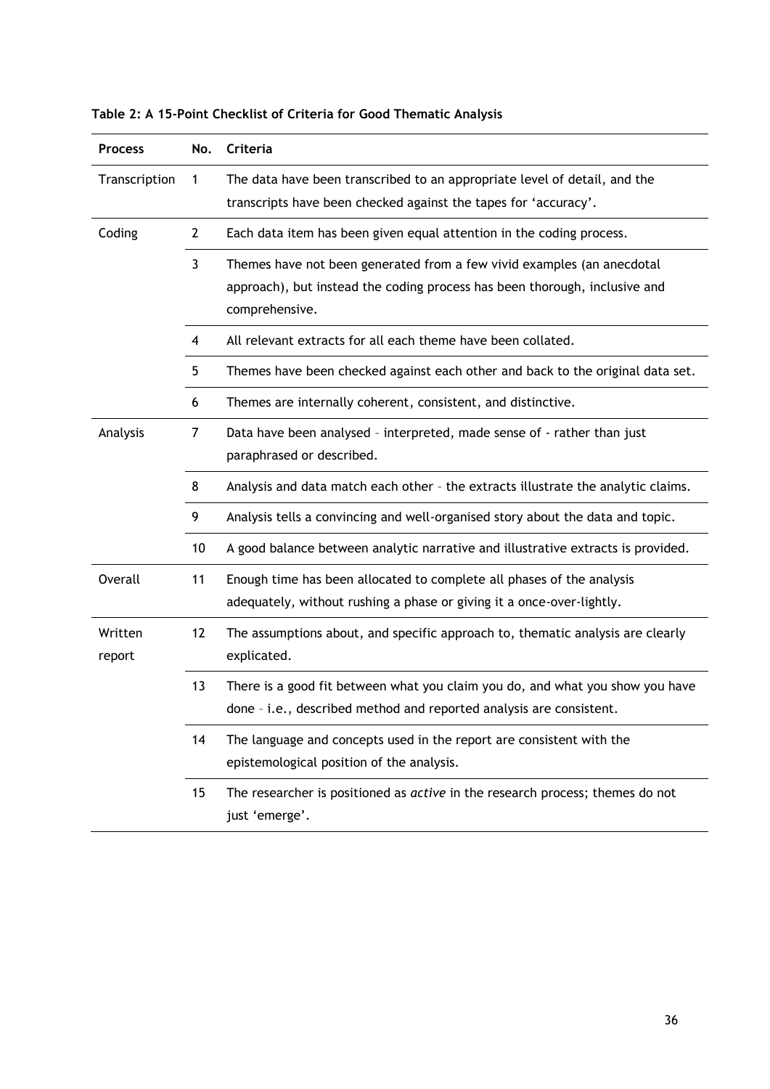| <b>Process</b>    | No.         | Criteria                                                                                                                                                               |
|-------------------|-------------|------------------------------------------------------------------------------------------------------------------------------------------------------------------------|
| Transcription     | $\mathbf 1$ | The data have been transcribed to an appropriate level of detail, and the<br>transcripts have been checked against the tapes for 'accuracy'.                           |
| Coding            | 2           | Each data item has been given equal attention in the coding process.                                                                                                   |
|                   | 3           | Themes have not been generated from a few vivid examples (an anecdotal<br>approach), but instead the coding process has been thorough, inclusive and<br>comprehensive. |
|                   | 4           | All relevant extracts for all each theme have been collated.                                                                                                           |
|                   | 5           | Themes have been checked against each other and back to the original data set.                                                                                         |
|                   | 6           | Themes are internally coherent, consistent, and distinctive.                                                                                                           |
| Analysis          | 7           | Data have been analysed - interpreted, made sense of - rather than just<br>paraphrased or described.                                                                   |
|                   | 8           | Analysis and data match each other - the extracts illustrate the analytic claims.                                                                                      |
|                   | 9           | Analysis tells a convincing and well-organised story about the data and topic.                                                                                         |
|                   | 10          | A good balance between analytic narrative and illustrative extracts is provided.                                                                                       |
| Overall           | 11          | Enough time has been allocated to complete all phases of the analysis<br>adequately, without rushing a phase or giving it a once-over-lightly.                         |
| Written<br>report | 12          | The assumptions about, and specific approach to, thematic analysis are clearly<br>explicated.                                                                          |
|                   | 13          | There is a good fit between what you claim you do, and what you show you have<br>done - i.e., described method and reported analysis are consistent.                   |
|                   | 14          | The language and concepts used in the report are consistent with the<br>epistemological position of the analysis.                                                      |
|                   | 15          | The researcher is positioned as <i>active</i> in the research process; themes do not<br>just 'emerge'.                                                                 |

# **Table 2: A 15-Point Checklist of Criteria for Good Thematic Analysis**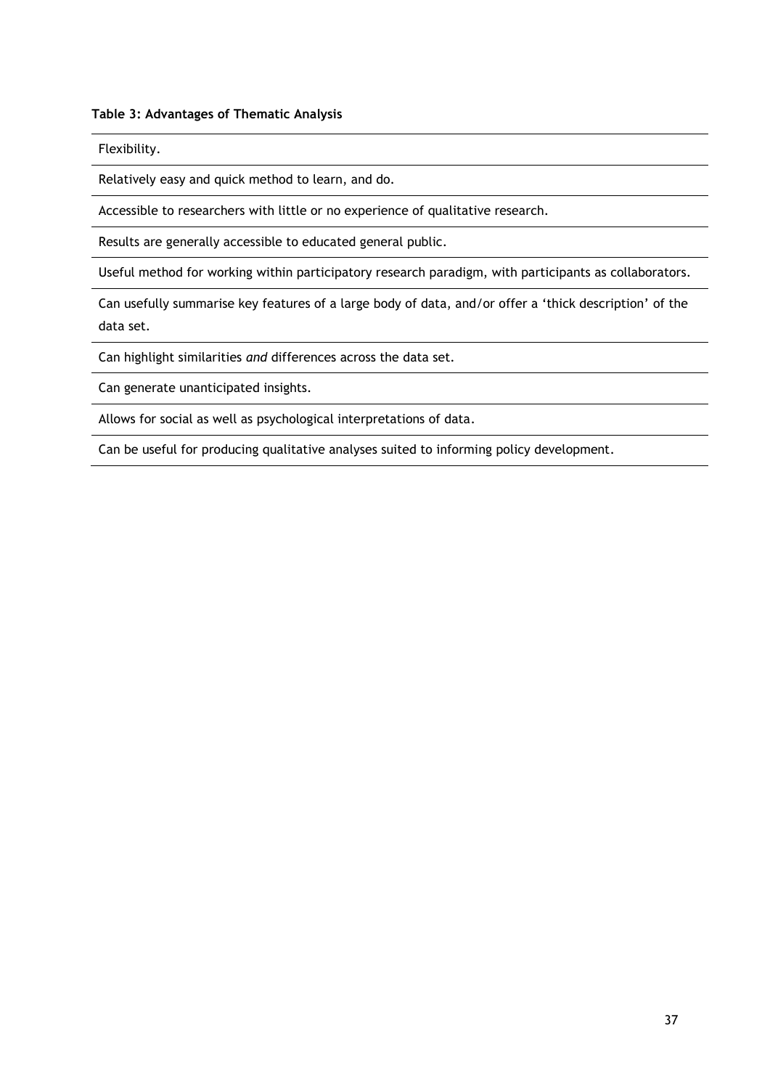**Table 3: Advantages of Thematic Analysis**

Flexibility.

Relatively easy and quick method to learn, and do.

Accessible to researchers with little or no experience of qualitative research.

Results are generally accessible to educated general public.

Useful method for working within participatory research paradigm, with participants as collaborators.

Can usefully summarise key features of a large body of data, and/or offer a "thick description" of the data set.

Can highlight similarities *and* differences across the data set.

Can generate unanticipated insights.

Allows for social as well as psychological interpretations of data.

Can be useful for producing qualitative analyses suited to informing policy development.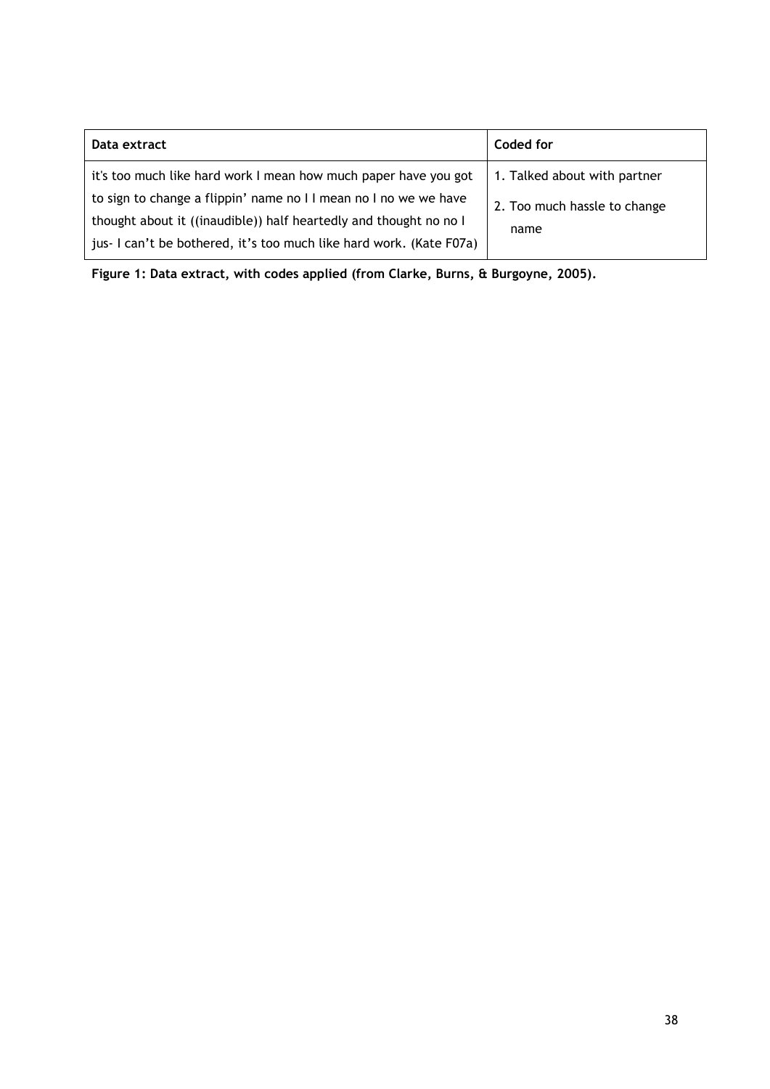| Data extract                                                        | Coded for                            |  |
|---------------------------------------------------------------------|--------------------------------------|--|
| it's too much like hard work I mean how much paper have you got     | 1. Talked about with partner         |  |
| to sign to change a flippin' name no II mean no I no we we have     | 2. Too much hassle to change<br>name |  |
| thought about it ((inaudible)) half heartedly and thought no no I   |                                      |  |
| jus- I can't be bothered, it's too much like hard work. (Kate F07a) |                                      |  |

**Figure 1: Data extract, with codes applied (from Clarke, Burns, & Burgoyne, 2005).**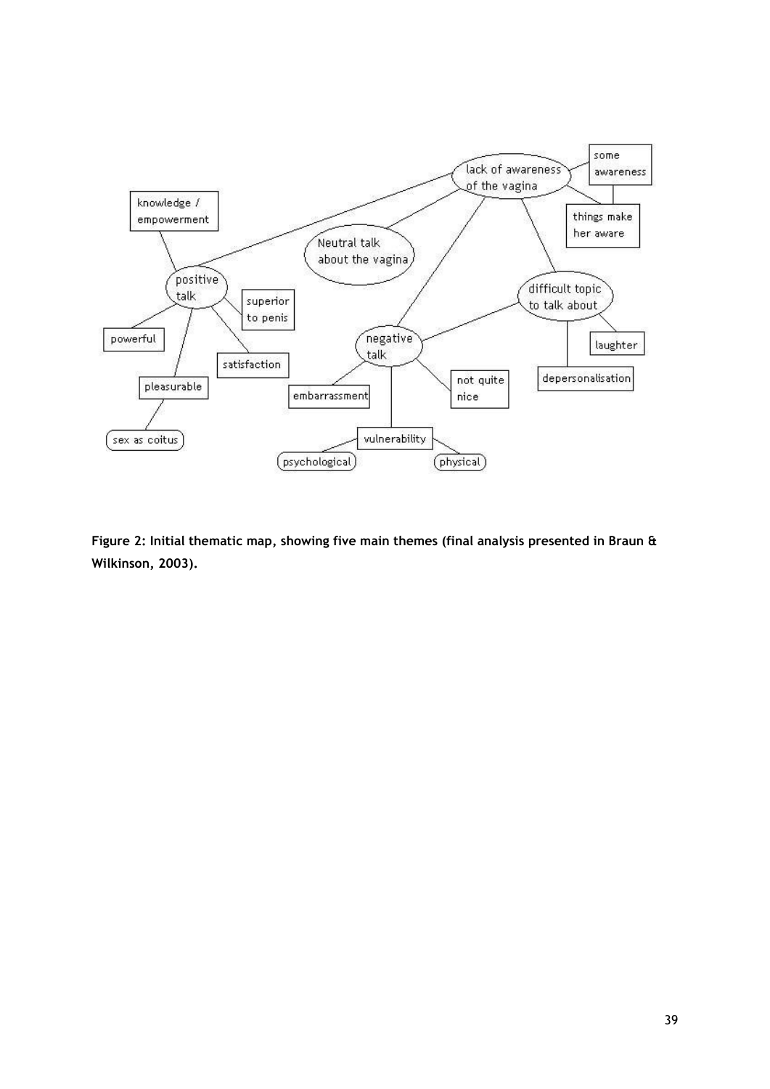

**Figure 2: Initial thematic map, showing five main themes (final analysis presented in Braun & Wilkinson, 2003).**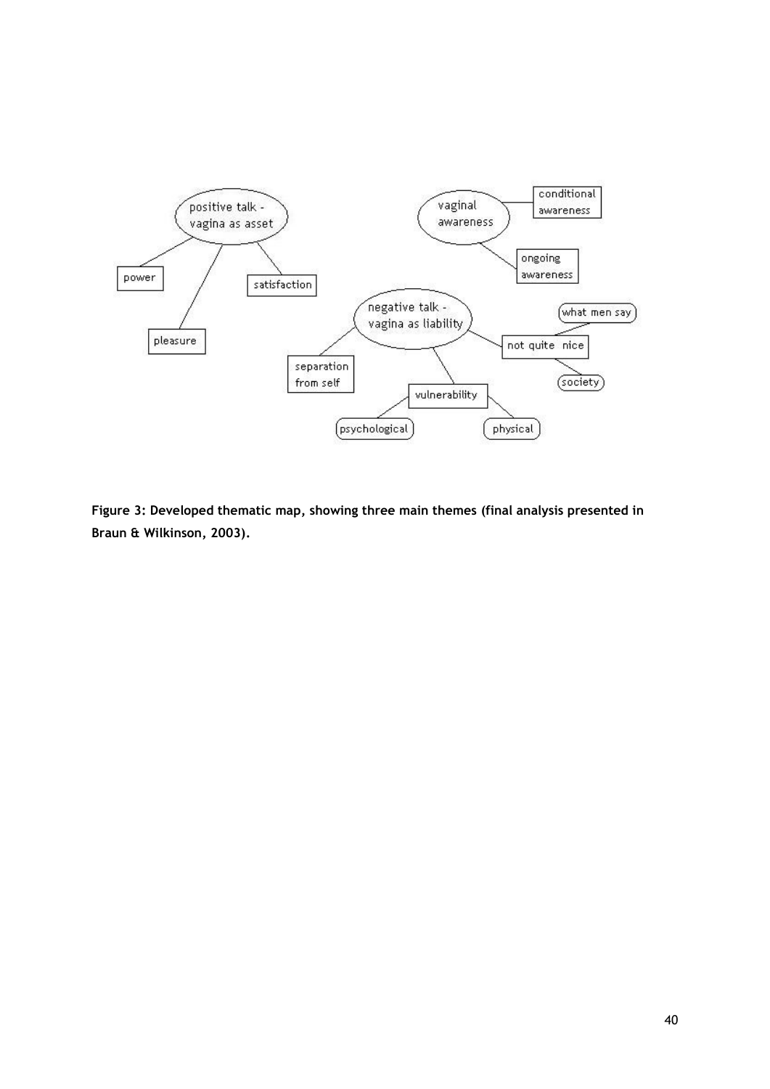

**Figure 3: Developed thematic map, showing three main themes (final analysis presented in Braun & Wilkinson, 2003).**